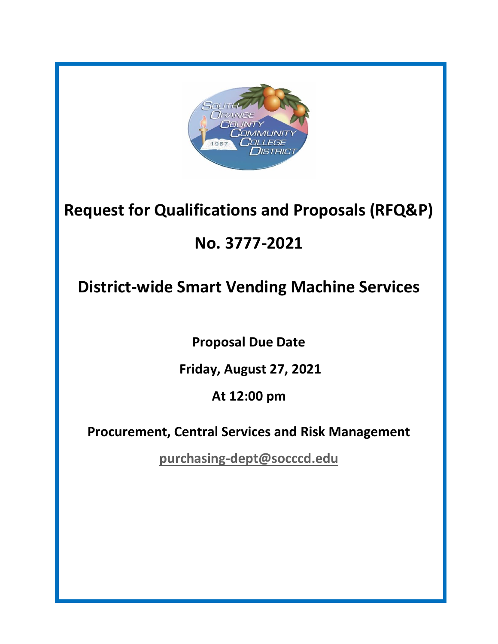

# **Request for Qualifications and Proposals (RFQ&P)**

# **No. 3777-2021**

# **District-wide Smart Vending Machine Services**

**Proposal Due Date**

**Friday, August 27, 2021**

**At 12:00 pm**

**Procurement, Central Services and Risk Management**

**[purchasing-dept@socccd.edu](mailto:purchasing-dept@socccd.edu)**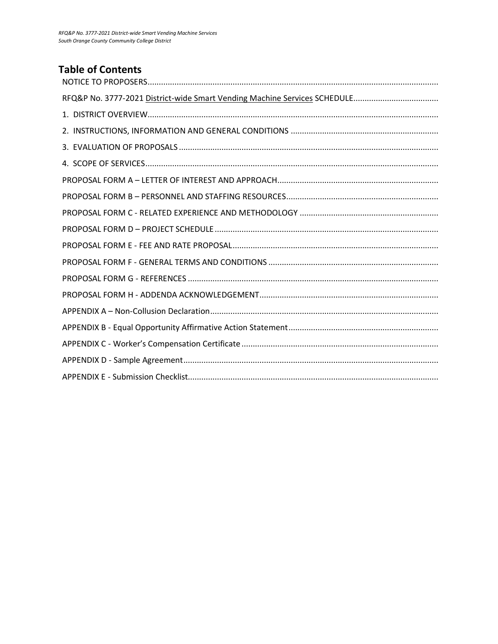# **Table of Contents**

<span id="page-1-0"></span>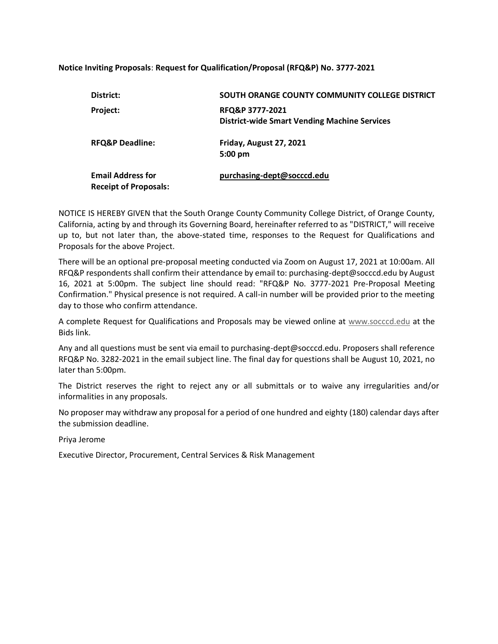#### **Notice Inviting Proposals**: **Request for Qualification/Proposal (RFQ&P) No. 3777-2021**

| District:                                                | SOUTH ORANGE COUNTY COMMUNITY COLLEGE DISTRICT                         |
|----------------------------------------------------------|------------------------------------------------------------------------|
| Project:                                                 | RFQ&P 3777-2021<br><b>District-wide Smart Vending Machine Services</b> |
| <b>RFQ&amp;P Deadline:</b>                               | Friday, August 27, 2021<br>5:00 pm                                     |
| <b>Email Address for</b><br><b>Receipt of Proposals:</b> | purchasing-dept@socccd.edu                                             |

NOTICE IS HEREBY GIVEN that the South Orange County Community College District, of Orange County, California, acting by and through its Governing Board, hereinafter referred to as "DISTRICT," will receive up to, but not later than, the above-stated time, responses to the Request for Qualifications and Proposals for the above Project.

There will be an optional pre-proposal meeting conducted via Zoom on August 17, 2021 at 10:00am. All RFQ&P respondents shall confirm their attendance by email to: purchasing-dept@socccd.edu by August 16, 2021 at 5:00pm. The subject line should read: "RFQ&P No. 3777-2021 Pre-Proposal Meeting Confirmation." Physical presence is not required. A call-in number will be provided prior to the meeting day to those who confirm attendance.

A complete Request for Qualifications and Proposals may be viewed online at [www.socccd.edu](http://www.socccd.edu/) at the Bids link.

Any and all questions must be sent via email to purchasing-dept@socccd.edu. Proposers shall reference RFQ&P No. 3282-2021 in the email subject line. The final day for questions shall be August 10, 2021, no later than 5:00pm.

The District reserves the right to reject any or all submittals or to waive any irregularities and/or informalities in any proposals.

No proposer may withdraw any proposal for a period of one hundred and eighty (180) calendar days after the submission deadline.

Priya Jerome

Executive Director, Procurement, Central Services & Risk Management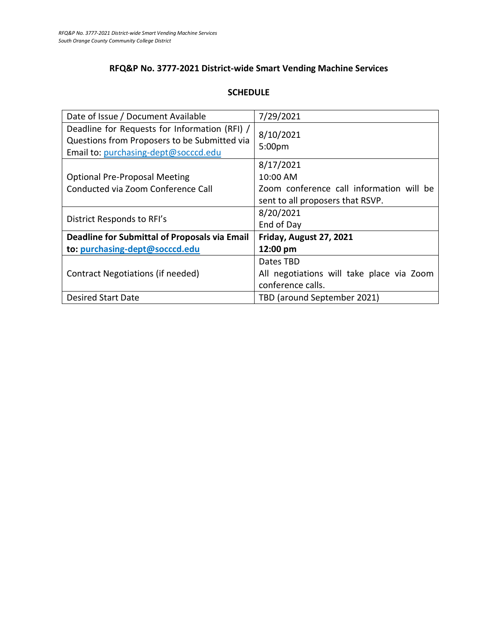# **RFQ&P No. 3777-2021 District-wide Smart Vending Machine Services**

## **SCHEDULE**

| Date of Issue / Document Available                                                                                                    | 7/29/2021                                                                                             |
|---------------------------------------------------------------------------------------------------------------------------------------|-------------------------------------------------------------------------------------------------------|
| Deadline for Requests for Information (RFI) /<br>Questions from Proposers to be Submitted via<br>Email to: purchasing-dept@socccd.edu | 8/10/2021<br>5:00pm                                                                                   |
| <b>Optional Pre-Proposal Meeting</b><br>Conducted via Zoom Conference Call                                                            | 8/17/2021<br>10:00 AM<br>Zoom conference call information will be<br>sent to all proposers that RSVP. |
| District Responds to RFI's                                                                                                            | 8/20/2021<br>End of Day                                                                               |
| <b>Deadline for Submittal of Proposals via Email</b>                                                                                  | Friday, August 27, 2021                                                                               |
| to: purchasing-dept@socccd.edu                                                                                                        | 12:00 pm                                                                                              |
| Contract Negotiations (if needed)                                                                                                     | Dates TBD<br>All negotiations will take place via Zoom<br>conference calls.                           |
| <b>Desired Start Date</b>                                                                                                             | TBD (around September 2021)                                                                           |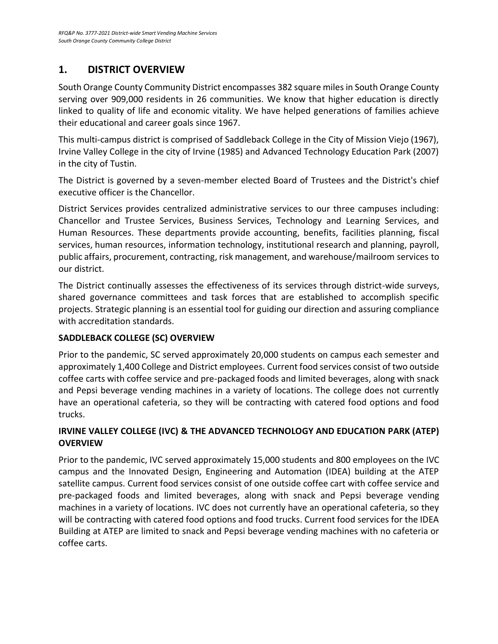# <span id="page-4-0"></span>**1. DISTRICT OVERVIEW**

South Orange County Community District encompasses 382 square miles in South Orange County serving over 909,000 residents in 26 communities. We know that higher education is directly linked to quality of life and economic vitality. We have helped generations of families achieve their educational and career goals since 1967.

This multi-campus district is comprised of Saddleback College in the City of Mission Viejo (1967), Irvine Valley College in the city of Irvine (1985) and Advanced Technology Education Park (2007) in the city of Tustin.

The District is governed by a seven-member elected Board of Trustees and the District's chief executive officer is the Chancellor.

District Services provides centralized administrative services to our three campuses including: Chancellor and Trustee Services, Business Services, Technology and Learning Services, and Human Resources. These departments provide accounting, benefits, facilities planning, fiscal services, human resources, information technology, institutional research and planning, payroll, public affairs, procurement, contracting, risk management, and warehouse/mailroom services to our district.

The District continually assesses the effectiveness of its services through district-wide surveys, shared governance committees and task forces that are established to accomplish specific projects. Strategic planning is an essential tool for guiding our direction and assuring compliance with accreditation standards.

# **SADDLEBACK COLLEGE (SC) OVERVIEW**

Prior to the pandemic, SC served approximately 20,000 students on campus each semester and approximately 1,400 College and District employees. Current food services consist of two outside coffee carts with coffee service and pre-packaged foods and limited beverages, along with snack and Pepsi beverage vending machines in a variety of locations. The college does not currently have an operational cafeteria, so they will be contracting with catered food options and food trucks.

# **IRVINE VALLEY COLLEGE (IVC) & THE ADVANCED TECHNOLOGY AND EDUCATION PARK (ATEP) OVERVIEW**

Prior to the pandemic, IVC served approximately 15,000 students and 800 employees on the IVC campus and the Innovated Design, Engineering and Automation (IDEA) building at the ATEP satellite campus. Current food services consist of one outside coffee cart with coffee service and pre-packaged foods and limited beverages, along with snack and Pepsi beverage vending machines in a variety of locations. IVC does not currently have an operational cafeteria, so they will be contracting with catered food options and food trucks. Current food services for the IDEA Building at ATEP are limited to snack and Pepsi beverage vending machines with no cafeteria or coffee carts.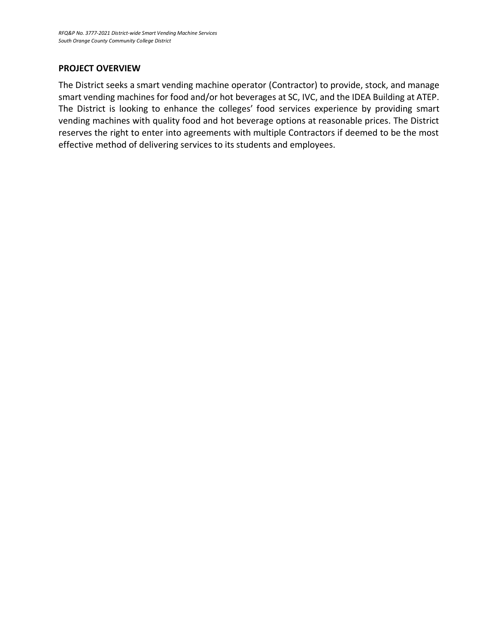#### **PROJECT OVERVIEW**

The District seeks a smart vending machine operator (Contractor) to provide, stock, and manage smart vending machines for food and/or hot beverages at SC, IVC, and the IDEA Building at ATEP. The District is looking to enhance the colleges' food services experience by providing smart vending machines with quality food and hot beverage options at reasonable prices. The District reserves the right to enter into agreements with multiple Contractors if deemed to be the most effective method of delivering services to its students and employees.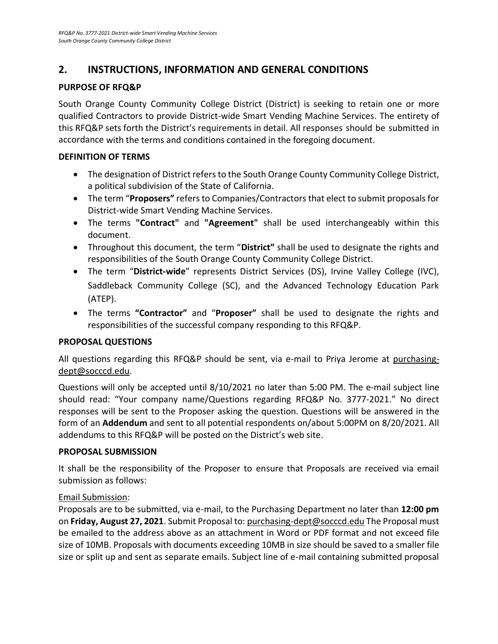# <span id="page-6-0"></span>**2. INSTRUCTIONS, INFORMATION AND GENERAL CONDITIONS**

## **PURPOSE OF RFQ&P**

South Orange County Community College District (District) is seeking to retain one or more qualified Contractors to provide District-wide Smart Vending Machine Services. The entirety of this RFQ&P sets forth the District's requirements in detail. All responses should be submitted in accordance with the terms and conditions contained in the foregoing document.

### **DEFINITION OF TERMS**

- The designation of District refers to the South Orange County Community College District, a political subdivision of the State of California.
- The term "**Proposers"** refers to Companies/Contractors that elect to submit proposals for District-wide Smart Vending Machine Services.
- The terms **"Contract"** and **"Agreement"** shall be used interchangeably within this document.
- Throughout this document, the term "**District"** shall be used to designate the rights and responsibilities of the South Orange County Community College District.
- The term "**District-wide**" represents District Services (DS), Irvine Valley College (IVC), Saddleback Community College (SC), and the Advanced Technology Education Park (ATEP).
- The terms **"Contractor"** and "**Proposer"** shall be used to designate the rights and responsibilities of the successful company responding to this RFQ&P.

# **PROPOSAL QUESTIONS**

All questions regarding this RFQ&P should be sent, via e-mail to Priya Jerome at purchasingdept@socccd.edu.

Questions will only be accepted until 8/10/2021 no later than 5:00 PM. The e-mail subject line should read: "Your company name/Questions regarding RFQ&P No. 3777-2021." No direct responses will be sent to the Proposer asking the question. Questions will be answered in the form of an **Addendum** and sent to all potential respondents on/about 5:00PM on 8/20/2021. All addendums to this RFQ&P will be posted on the District's web site.

#### **PROPOSAL SUBMISSION**

It shall be the responsibility of the Proposer to ensure that Proposals are received via email submission as follows:

#### Email Submission:

Proposals are to be submitted, via e-mail, to the Purchasing Department no later than **12:00 pm** on **Friday, August 27, 2021**. Submit Proposal to: [purchasing-dept@socccd.edu](mailto:purchasing-dept@socccd.edu) The Proposal must be emailed to the address above as an attachment in Word or PDF format and not exceed file size of 10MB. Proposals with documents exceeding 10MB in size should be saved to a smaller file size or split up and sent as separate emails. Subject line of e-mail containing submitted proposal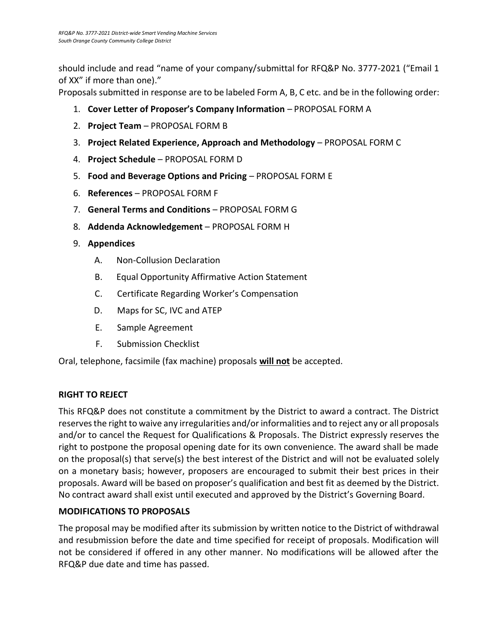should include and read "name of your company/submittal for RFQ&P No. 3777-2021 ("Email 1 of XX" if more than one)."

Proposals submitted in response are to be labeled Form A, B, C etc. and be in the following order:

- 1. **Cover Letter of Proposer's Company Information** PROPOSAL FORM A
- 2. **Project Team** PROPOSAL FORM B
- 3. **Project Related Experience, Approach and Methodology** PROPOSAL FORM C
- 4. **Project Schedule** PROPOSAL FORM D
- 5. **Food and Beverage Options and Pricing** PROPOSAL FORM E
- 6. **References** PROPOSAL FORM F
- 7. **General Terms and Conditions** PROPOSAL FORM G
- 8. **Addenda Acknowledgement** PROPOSAL FORM H
- 9. **Appendices**
	- A. Non-Collusion Declaration
	- B. Equal Opportunity Affirmative Action Statement
	- C. Certificate Regarding Worker's Compensation
	- D. Maps for SC, IVC and ATEP
	- E. Sample Agreement
	- F. Submission Checklist

Oral, telephone, facsimile (fax machine) proposals **will not** be accepted.

# **RIGHT TO REJECT**

This RFQ&P does not constitute a commitment by the District to award a contract. The District reserves the right to waive any irregularities and/or informalities and to reject any or all proposals and/or to cancel the Request for Qualifications & Proposals. The District expressly reserves the right to postpone the proposal opening date for its own convenience. The award shall be made on the proposal(s) that serve(s) the best interest of the District and will not be evaluated solely on a monetary basis; however, proposers are encouraged to submit their best prices in their proposals. Award will be based on proposer's qualification and best fit as deemed by the District. No contract award shall exist until executed and approved by the District's Governing Board.

# **MODIFICATIONS TO PROPOSALS**

The proposal may be modified after its submission by written notice to the District of withdrawal and resubmission before the date and time specified for receipt of proposals. Modification will not be considered if offered in any other manner. No modifications will be allowed after the RFQ&P due date and time has passed.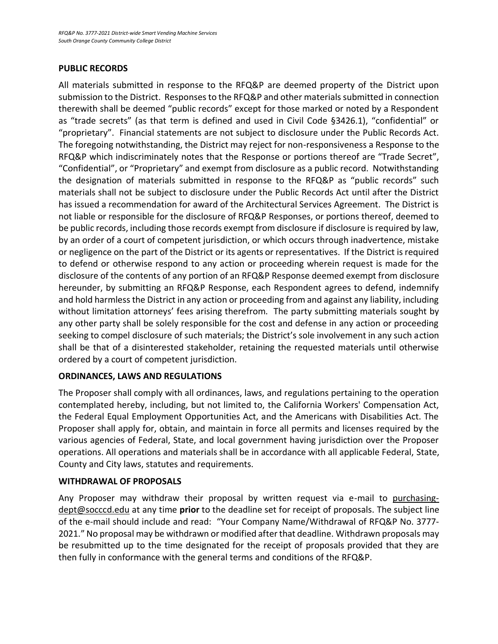## **PUBLIC RECORDS**

All materials submitted in response to the RFQ&P are deemed property of the District upon submission to the District. Responses to the RFQ&P and other materials submitted in connection therewith shall be deemed "public records" except for those marked or noted by a Respondent as "trade secrets" (as that term is defined and used in Civil Code §3426.1), "confidential" or "proprietary". Financial statements are not subject to disclosure under the Public Records Act. The foregoing notwithstanding, the District may reject for non-responsiveness a Response to the RFQ&P which indiscriminately notes that the Response or portions thereof are "Trade Secret", "Confidential", or "Proprietary" and exempt from disclosure as a public record. Notwithstanding the designation of materials submitted in response to the RFQ&P as "public records" such materials shall not be subject to disclosure under the Public Records Act until after the District has issued a recommendation for award of the Architectural Services Agreement. The District is not liable or responsible for the disclosure of RFQ&P Responses, or portions thereof, deemed to be public records, including those records exempt from disclosure if disclosure is required by law, by an order of a court of competent jurisdiction, or which occurs through inadvertence, mistake or negligence on the part of the District or its agents or representatives. If the District is required to defend or otherwise respond to any action or proceeding wherein request is made for the disclosure of the contents of any portion of an RFQ&P Response deemed exempt from disclosure hereunder, by submitting an RFQ&P Response, each Respondent agrees to defend, indemnify and hold harmless the District in any action or proceeding from and against any liability, including without limitation attorneys' fees arising therefrom. The party submitting materials sought by any other party shall be solely responsible for the cost and defense in any action or proceeding seeking to compel disclosure of such materials; the District's sole involvement in any such action shall be that of a disinterested stakeholder, retaining the requested materials until otherwise ordered by a court of competent jurisdiction.

# **ORDINANCES, LAWS AND REGULATIONS**

The Proposer shall comply with all ordinances, laws, and regulations pertaining to the operation contemplated hereby, including, but not limited to, the California Workers' Compensation Act, the Federal Equal Employment Opportunities Act, and the Americans with Disabilities Act. The Proposer shall apply for, obtain, and maintain in force all permits and licenses required by the various agencies of Federal, State, and local government having jurisdiction over the Proposer operations. All operations and materials shall be in accordance with all applicable Federal, State, County and City laws, statutes and requirements.

#### **WITHDRAWAL OF PROPOSALS**

Any Proposer may withdraw their proposal by written request via e-mail to purchasingdept@socccd.edu at any time **prior** to the deadline set for receipt of proposals. The subject line of the e-mail should include and read: "Your Company Name/Withdrawal of RFQ&P No. 3777- 2021." No proposal may be withdrawn or modified after that deadline. Withdrawn proposals may be resubmitted up to the time designated for the receipt of proposals provided that they are then fully in conformance with the general terms and conditions of the RFQ&P.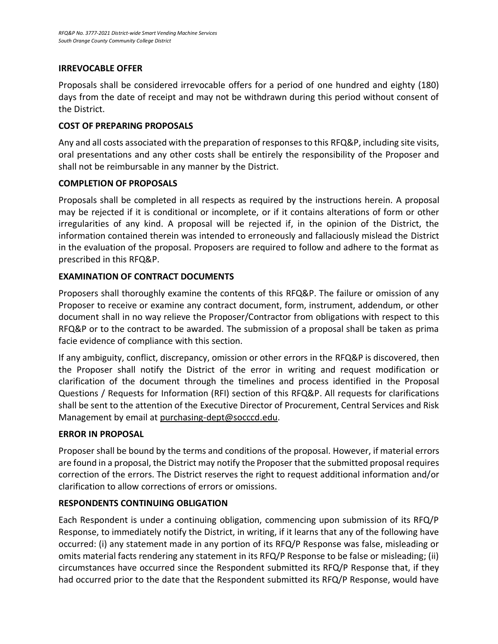## **IRREVOCABLE OFFER**

Proposals shall be considered irrevocable offers for a period of one hundred and eighty (180) days from the date of receipt and may not be withdrawn during this period without consent of the District.

## **COST OF PREPARING PROPOSALS**

Any and all costs associated with the preparation of responses to this RFQ&P, including site visits, oral presentations and any other costs shall be entirely the responsibility of the Proposer and shall not be reimbursable in any manner by the District.

## **COMPLETION OF PROPOSALS**

Proposals shall be completed in all respects as required by the instructions herein. A proposal may be rejected if it is conditional or incomplete, or if it contains alterations of form or other irregularities of any kind. A proposal will be rejected if, in the opinion of the District, the information contained therein was intended to erroneously and fallaciously mislead the District in the evaluation of the proposal. Proposers are required to follow and adhere to the format as prescribed in this RFQ&P.

## **EXAMINATION OF CONTRACT DOCUMENTS**

Proposers shall thoroughly examine the contents of this RFQ&P. The failure or omission of any Proposer to receive or examine any contract document, form, instrument, addendum, or other document shall in no way relieve the Proposer/Contractor from obligations with respect to this RFQ&P or to the contract to be awarded. The submission of a proposal shall be taken as prima facie evidence of compliance with this section.

If any ambiguity, conflict, discrepancy, omission or other errors in the RFQ&P is discovered, then the Proposer shall notify the District of the error in writing and request modification or clarification of the document through the timelines and process identified in the Proposal Questions / Requests for Information (RFI) section of this RFQ&P. All requests for clarifications shall be sent to the attention of the Executive Director of Procurement, Central Services and Risk Management by email a[t purchasing-dept@socccd.edu.](mailto:purchasing-dept@socccd.edu)

# **ERROR IN PROPOSAL**

Proposer shall be bound by the terms and conditions of the proposal. However, if material errors are found in a proposal, the District may notify the Proposer that the submitted proposal requires correction of the errors. The District reserves the right to request additional information and/or clarification to allow corrections of errors or omissions.

# **RESPONDENTS CONTINUING OBLIGATION**

Each Respondent is under a continuing obligation, commencing upon submission of its RFQ/P Response, to immediately notify the District, in writing, if it learns that any of the following have occurred: (i) any statement made in any portion of its RFQ/P Response was false, misleading or omits material facts rendering any statement in its RFQ/P Response to be false or misleading; (ii) circumstances have occurred since the Respondent submitted its RFQ/P Response that, if they had occurred prior to the date that the Respondent submitted its RFQ/P Response, would have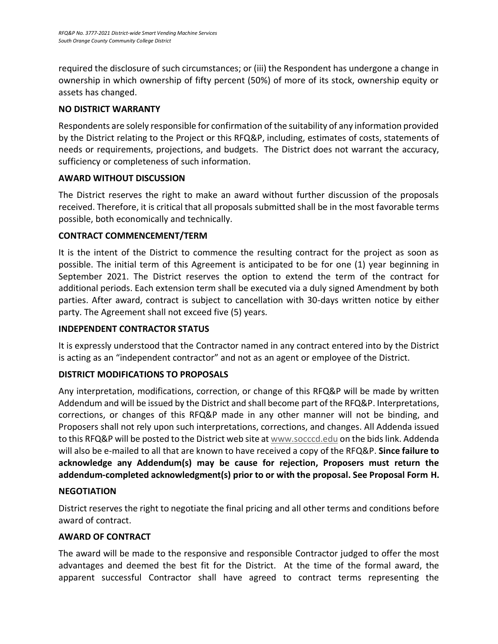required the disclosure of such circumstances; or (iii) the Respondent has undergone a change in ownership in which ownership of fifty percent (50%) of more of its stock, ownership equity or assets has changed.

# **NO DISTRICT WARRANTY**

Respondents are solely responsible for confirmation of the suitability of any information provided by the District relating to the Project or this RFQ&P, including, estimates of costs, statements of needs or requirements, projections, and budgets. The District does not warrant the accuracy, sufficiency or completeness of such information.

# **AWARD WITHOUT DISCUSSION**

The District reserves the right to make an award without further discussion of the proposals received. Therefore, it is critical that all proposals submitted shall be in the most favorable terms possible, both economically and technically.

# **CONTRACT COMMENCEMENT/TERM**

It is the intent of the District to commence the resulting contract for the project as soon as possible. The initial term of this Agreement is anticipated to be for one (1) year beginning in September 2021. The District reserves the option to extend the term of the contract for additional periods. Each extension term shall be executed via a duly signed Amendment by both parties. After award, contract is subject to cancellation with 30-days written notice by either party. The Agreement shall not exceed five (5) years.

# **INDEPENDENT CONTRACTOR STATUS**

It is expressly understood that the Contractor named in any contract entered into by the District is acting as an "independent contractor" and not as an agent or employee of the District.

# **DISTRICT MODIFICATIONS TO PROPOSALS**

Any interpretation, modifications, correction, or change of this RFQ&P will be made by written Addendum and will be issued by the District and shall become part of the RFQ&P. Interpretations, corrections, or changes of this RFQ&P made in any other manner will not be binding, and Proposers shall not rely upon such interpretations, corrections, and changes. All Addenda issued to this RFQ&P will be posted to the District web site at [www.socccd.edu](http://www.socccd.edu/) on the bids link. Addenda will also be e-mailed to all that are known to have received a copy of the RFQ&P. **Since failure to acknowledge any Addendum(s) may be cause for rejection, Proposers must return the addendum-completed acknowledgment(s) prior to or with the proposal. See Proposal Form H.**

# **NEGOTIATION**

District reserves the right to negotiate the final pricing and all other terms and conditions before award of contract.

# **AWARD OF CONTRACT**

The award will be made to the responsive and responsible Contractor judged to offer the most advantages and deemed the best fit for the District. At the time of the formal award, the apparent successful Contractor shall have agreed to contract terms representing the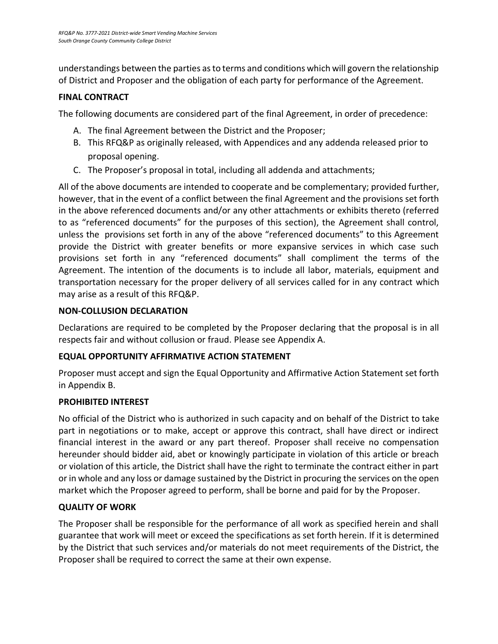understandings between the parties as to terms and conditions which will govern the relationship of District and Proposer and the obligation of each party for performance of the Agreement.

# **FINAL CONTRACT**

The following documents are considered part of the final Agreement, in order of precedence:

- A. The final Agreement between the District and the Proposer;
- B. This RFQ&P as originally released, with Appendices and any addenda released prior to proposal opening.
- C. The Proposer's proposal in total, including all addenda and attachments;

All of the above documents are intended to cooperate and be complementary; provided further, however, that in the event of a conflict between the final Agreement and the provisions set forth in the above referenced documents and/or any other attachments or exhibits thereto (referred to as "referenced documents" for the purposes of this section), the Agreement shall control, unless the provisions set forth in any of the above "referenced documents" to this Agreement provide the District with greater benefits or more expansive services in which case such provisions set forth in any "referenced documents" shall compliment the terms of the Agreement. The intention of the documents is to include all labor, materials, equipment and transportation necessary for the proper delivery of all services called for in any contract which may arise as a result of this RFQ&P.

# **NON-COLLUSION DECLARATION**

Declarations are required to be completed by the Proposer declaring that the proposal is in all respects fair and without collusion or fraud. Please see Appendix A.

# **EQUAL OPPORTUNITY AFFIRMATIVE ACTION STATEMENT**

Proposer must accept and sign the Equal Opportunity and Affirmative Action Statement set forth in Appendix B.

# **PROHIBITED INTEREST**

No official of the District who is authorized in such capacity and on behalf of the District to take part in negotiations or to make, accept or approve this contract, shall have direct or indirect financial interest in the award or any part thereof. Proposer shall receive no compensation hereunder should bidder aid, abet or knowingly participate in violation of this article or breach or violation of this article, the District shall have the right to terminate the contract either in part or in whole and any loss or damage sustained by the District in procuring the services on the open market which the Proposer agreed to perform, shall be borne and paid for by the Proposer.

# **QUALITY OF WORK**

The Proposer shall be responsible for the performance of all work as specified herein and shall guarantee that work will meet or exceed the specifications as set forth herein. If it is determined by the District that such services and/or materials do not meet requirements of the District, the Proposer shall be required to correct the same at their own expense.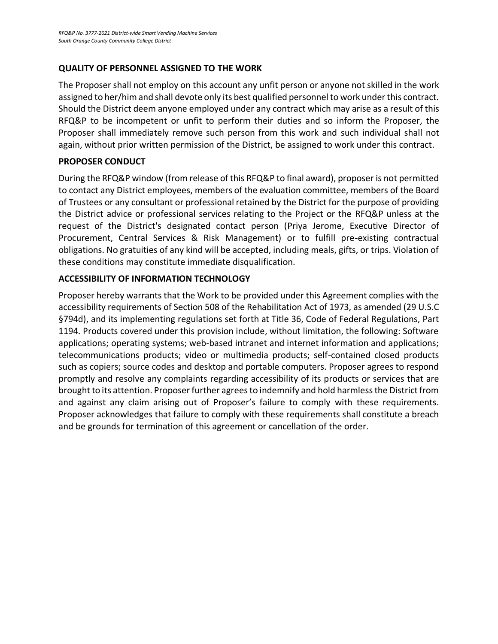## **QUALITY OF PERSONNEL ASSIGNED TO THE WORK**

The Proposer shall not employ on this account any unfit person or anyone not skilled in the work assigned to her/him and shall devote only its best qualified personnel to work under this contract. Should the District deem anyone employed under any contract which may arise as a result of this RFQ&P to be incompetent or unfit to perform their duties and so inform the Proposer, the Proposer shall immediately remove such person from this work and such individual shall not again, without prior written permission of the District, be assigned to work under this contract.

## **PROPOSER CONDUCT**

<span id="page-12-0"></span>During the RFQ&P window (from release of this RFQ&P to final award), proposer is not permitted to contact any District employees, members of the evaluation committee, members of the Board of Trustees or any consultant or professional retained by the District for the purpose of providing the District advice or professional services relating to the Project or the RFQ&P unless at the request of the District's designated contact person (Priya Jerome, Executive Director of Procurement, Central Services & Risk Management) or to fulfill pre-existing contractual obligations. No gratuities of any kind will be accepted, including meals, gifts, or trips. Violation of these conditions may constitute immediate disqualification.

# **ACCESSIBILITY OF INFORMATION TECHNOLOGY**

Proposer hereby warrants that the Work to be provided under this Agreement complies with the accessibility requirements of Section 508 of the Rehabilitation Act of 1973, as amended (29 U.S.C §794d), and its implementing regulations set forth at Title 36, Code of Federal Regulations, Part 1194. Products covered under this provision include, without limitation, the following: Software applications; operating systems; web-based intranet and internet information and applications; telecommunications products; video or multimedia products; self-contained closed products such as copiers; source codes and desktop and portable computers. Proposer agrees to respond promptly and resolve any complaints regarding accessibility of its products or services that are brought to its attention. Proposer further agrees to indemnify and hold harmless the District from and against any claim arising out of Proposer's failure to comply with these requirements. Proposer acknowledges that failure to comply with these requirements shall constitute a breach and be grounds for termination of this agreement or cancellation of the order.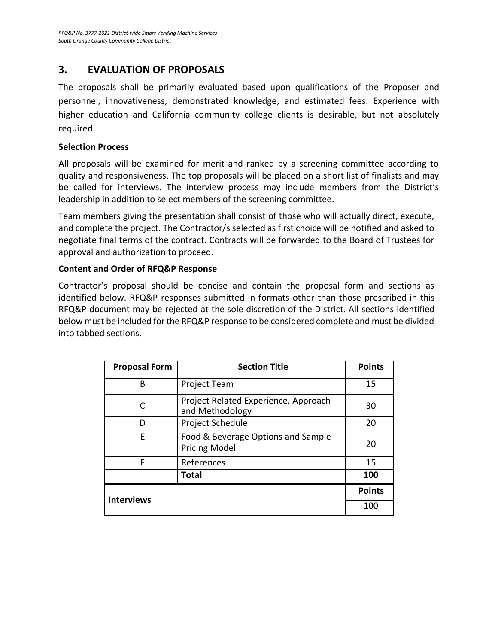# **3. EVALUATION OF PROPOSALS**

The proposals shall be primarily evaluated based upon qualifications of the Proposer and personnel, innovativeness, demonstrated knowledge, and estimated fees. Experience with higher education and California community college clients is desirable, but not absolutely required.

### **Selection Process**

All proposals will be examined for merit and ranked by a screening committee according to quality and responsiveness. The top proposals will be placed on a short list of finalists and may be called for interviews. The interview process may include members from the District's leadership in addition to select members of the screening committee.

Team members giving the presentation shall consist of those who will actually direct, execute, and complete the project. The Contractor/s selected as first choice will be notified and asked to negotiate final terms of the contract. Contracts will be forwarded to the Board of Trustees for approval and authorization to proceed.

## **Content and Order of RFQ&P Response**

Contractor's proposal should be concise and contain the proposal form and sections as identified below. RFQ&P responses submitted in formats other than those prescribed in this RFQ&P document may be rejected at the sole discretion of the District. All sections identified below must be included for the RFQ&P response to be considered complete and must be divided into tabbed sections.

| <b>Proposal Form</b> | <b>Section Title</b>                                       | <b>Points</b> |
|----------------------|------------------------------------------------------------|---------------|
| В                    | <b>Project Team</b>                                        | 15            |
|                      | Project Related Experience, Approach<br>and Methodology    | 30            |
| D                    | Project Schedule                                           | 20            |
| E                    | Food & Beverage Options and Sample<br><b>Pricing Model</b> | 20            |
| F                    | References                                                 | 15            |
|                      | <b>Total</b>                                               | 100           |
| <b>Interviews</b>    |                                                            | <b>Points</b> |
|                      |                                                            | 100           |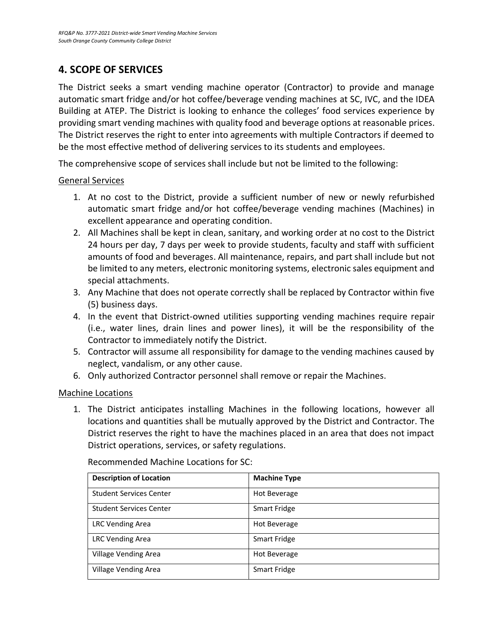# <span id="page-14-0"></span>**4. SCOPE OF SERVICES**

The District seeks a smart vending machine operator (Contractor) to provide and manage automatic smart fridge and/or hot coffee/beverage vending machines at SC, IVC, and the IDEA Building at ATEP. The District is looking to enhance the colleges' food services experience by providing smart vending machines with quality food and beverage options at reasonable prices. The District reserves the right to enter into agreements with multiple Contractors if deemed to be the most effective method of delivering services to its students and employees.

The comprehensive scope of services shall include but not be limited to the following:

#### General Services

- 1. At no cost to the District, provide a sufficient number of new or newly refurbished automatic smart fridge and/or hot coffee/beverage vending machines (Machines) in excellent appearance and operating condition.
- 2. All Machines shall be kept in clean, sanitary, and working order at no cost to the District 24 hours per day, 7 days per week to provide students, faculty and staff with sufficient amounts of food and beverages. All maintenance, repairs, and part shall include but not be limited to any meters, electronic monitoring systems, electronic sales equipment and special attachments.
- 3. Any Machine that does not operate correctly shall be replaced by Contractor within five (5) business days.
- 4. In the event that District-owned utilities supporting vending machines require repair (i.e., water lines, drain lines and power lines), it will be the responsibility of the Contractor to immediately notify the District.
- 5. Contractor will assume all responsibility for damage to the vending machines caused by neglect, vandalism, or any other cause.
- 6. Only authorized Contractor personnel shall remove or repair the Machines.

#### Machine Locations

1. The District anticipates installing Machines in the following locations, however all locations and quantities shall be mutually approved by the District and Contractor. The District reserves the right to have the machines placed in an area that does not impact District operations, services, or safety regulations.

| <b>Description of Location</b> | <b>Machine Type</b> |
|--------------------------------|---------------------|
| <b>Student Services Center</b> | Hot Beverage        |
| <b>Student Services Center</b> | Smart Fridge        |
| <b>LRC Vending Area</b>        | Hot Beverage        |
| <b>LRC Vending Area</b>        | <b>Smart Fridge</b> |
| Village Vending Area           | Hot Beverage        |
| Village Vending Area           | Smart Fridge        |

Recommended Machine Locations for SC: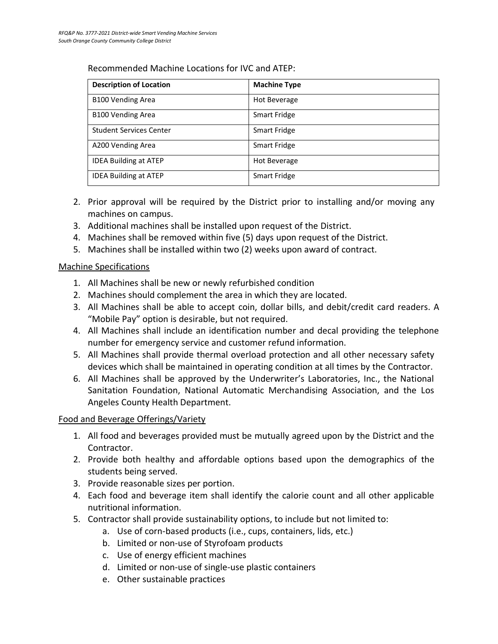| <b>Description of Location</b> | <b>Machine Type</b> |
|--------------------------------|---------------------|
| <b>B100 Vending Area</b>       | Hot Beverage        |
| <b>B100 Vending Area</b>       | Smart Fridge        |
| <b>Student Services Center</b> | Smart Fridge        |
| A200 Vending Area              | Smart Fridge        |
| <b>IDEA Building at ATEP</b>   | Hot Beverage        |
| <b>IDEA Building at ATEP</b>   | Smart Fridge        |

- 2. Prior approval will be required by the District prior to installing and/or moving any machines on campus.
- 3. Additional machines shall be installed upon request of the District.
- 4. Machines shall be removed within five (5) days upon request of the District.
- 5. Machines shall be installed within two (2) weeks upon award of contract.

# Machine Specifications

- 1. All Machines shall be new or newly refurbished condition
- 2. Machines should complement the area in which they are located.
- 3. All Machines shall be able to accept coin, dollar bills, and debit/credit card readers. A "Mobile Pay" option is desirable, but not required.
- 4. All Machines shall include an identification number and decal providing the telephone number for emergency service and customer refund information.
- 5. All Machines shall provide thermal overload protection and all other necessary safety devices which shall be maintained in operating condition at all times by the Contractor.
- 6. All Machines shall be approved by the Underwriter's Laboratories, Inc., the National Sanitation Foundation, National Automatic Merchandising Association, and the Los Angeles County Health Department.

# Food and Beverage Offerings/Variety

- 1. All food and beverages provided must be mutually agreed upon by the District and the Contractor.
- 2. Provide both healthy and affordable options based upon the demographics of the students being served.
- 3. Provide reasonable sizes per portion.
- 4. Each food and beverage item shall identify the calorie count and all other applicable nutritional information.
- 5. Contractor shall provide sustainability options, to include but not limited to:
	- a. Use of corn-based products (i.e., cups, containers, lids, etc.)
	- b. Limited or non-use of Styrofoam products
	- c. Use of energy efficient machines
	- d. Limited or non-use of single-use plastic containers
	- e. Other sustainable practices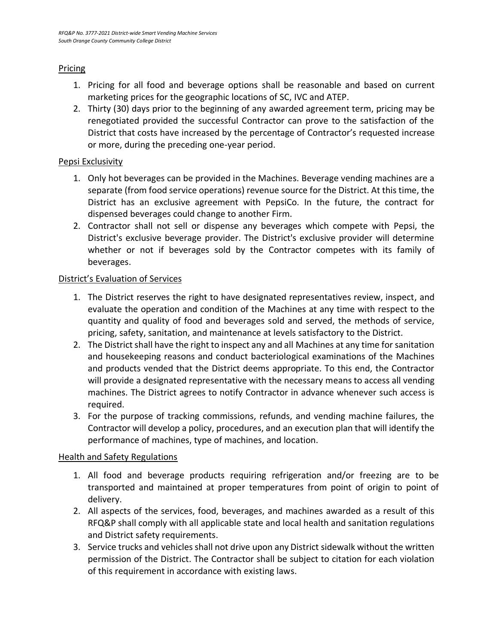## Pricing

- 1. Pricing for all food and beverage options shall be reasonable and based on current marketing prices for the geographic locations of SC, IVC and ATEP.
- 2. Thirty (30) days prior to the beginning of any awarded agreement term, pricing may be renegotiated provided the successful Contractor can prove to the satisfaction of the District that costs have increased by the percentage of Contractor's requested increase or more, during the preceding one-year period.

## Pepsi Exclusivity

- 1. Only hot beverages can be provided in the Machines. Beverage vending machines are a separate (from food service operations) revenue source for the District. At this time, the District has an exclusive agreement with PepsiCo. In the future, the contract for dispensed beverages could change to another Firm.
- 2. Contractor shall not sell or dispense any beverages which compete with Pepsi, the District's exclusive beverage provider. The District's exclusive provider will determine whether or not if beverages sold by the Contractor competes with its family of beverages.

# District's Evaluation of Services

- 1. The District reserves the right to have designated representatives review, inspect, and evaluate the operation and condition of the Machines at any time with respect to the quantity and quality of food and beverages sold and served, the methods of service, pricing, safety, sanitation, and maintenance at levels satisfactory to the District.
- 2. The District shall have the right to inspect any and all Machines at any time for sanitation and housekeeping reasons and conduct bacteriological examinations of the Machines and products vended that the District deems appropriate. To this end, the Contractor will provide a designated representative with the necessary means to access all vending machines. The District agrees to notify Contractor in advance whenever such access is required.
- 3. For the purpose of tracking commissions, refunds, and vending machine failures, the Contractor will develop a policy, procedures, and an execution plan that will identify the performance of machines, type of machines, and location.

#### **Health and Safety Regulations**

- 1. All food and beverage products requiring refrigeration and/or freezing are to be transported and maintained at proper temperatures from point of origin to point of delivery.
- 2. All aspects of the services, food, beverages, and machines awarded as a result of this RFQ&P shall comply with all applicable state and local health and sanitation regulations and District safety requirements.
- 3. Service trucks and vehicles shall not drive upon any District sidewalk without the written permission of the District. The Contractor shall be subject to citation for each violation of this requirement in accordance with existing laws.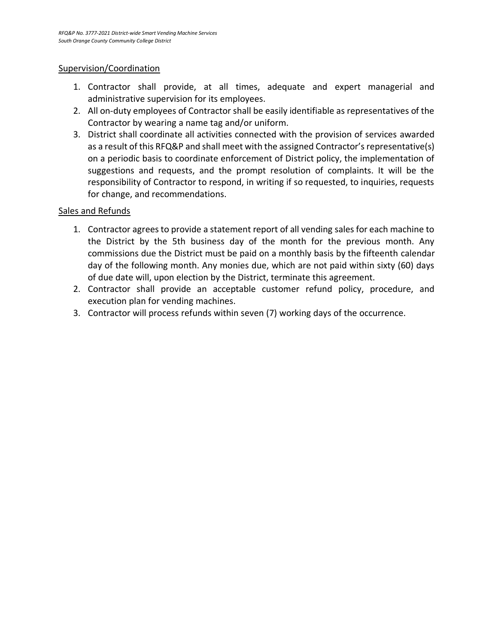#### Supervision/Coordination

- 1. Contractor shall provide, at all times, adequate and expert managerial and administrative supervision for its employees.
- 2. All on-duty employees of Contractor shall be easily identifiable as representatives of the Contractor by wearing a name tag and/or uniform.
- 3. District shall coordinate all activities connected with the provision of services awarded as a result of this RFQ&P and shall meet with the assigned Contractor's representative(s) on a periodic basis to coordinate enforcement of District policy, the implementation of suggestions and requests, and the prompt resolution of complaints. It will be the responsibility of Contractor to respond, in writing if so requested, to inquiries, requests for change, and recommendations.

#### Sales and Refunds

- 1. Contractor agrees to provide a statement report of all vending sales for each machine to the District by the 5th business day of the month for the previous month. Any commissions due the District must be paid on a monthly basis by the fifteenth calendar day of the following month. Any monies due, which are not paid within sixty (60) days of due date will, upon election by the District, terminate this agreement.
- 2. Contractor shall provide an acceptable customer refund policy, procedure, and execution plan for vending machines.
- 3. Contractor will process refunds within seven (7) working days of the occurrence.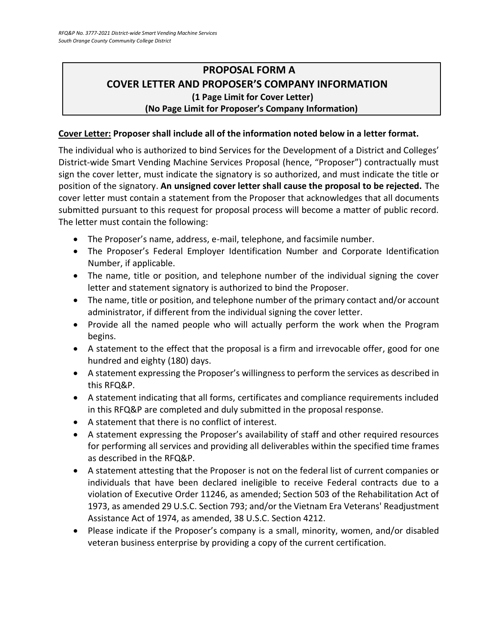# <span id="page-18-0"></span>**PROPOSAL FORM A COVER LETTER AND PROPOSER'S COMPANY INFORMATION (1 Page Limit for Cover Letter) (No Page Limit for Proposer's Company Information)**

# **Cover Letter: Proposer shall include all of the information noted below in a letter format.**

The individual who is authorized to bind Services for the Development of a District and Colleges' District-wide Smart Vending Machine Services Proposal (hence, "Proposer") contractually must sign the cover letter, must indicate the signatory is so authorized, and must indicate the title or position of the signatory. **An unsigned cover letter shall cause the proposal to be rejected.** The cover letter must contain a statement from the Proposer that acknowledges that all documents submitted pursuant to this request for proposal process will become a matter of public record. The letter must contain the following:

- The Proposer's name, address, e-mail, telephone, and facsimile number.
- The Proposer's Federal Employer Identification Number and Corporate Identification Number, if applicable.
- The name, title or position, and telephone number of the individual signing the cover letter and statement signatory is authorized to bind the Proposer.
- The name, title or position, and telephone number of the primary contact and/or account administrator, if different from the individual signing the cover letter.
- Provide all the named people who will actually perform the work when the Program begins.
- A statement to the effect that the proposal is a firm and irrevocable offer, good for one hundred and eighty (180) days.
- A statement expressing the Proposer's willingness to perform the services as described in this RFQ&P.
- A statement indicating that all forms, certificates and compliance requirements included in this RFQ&P are completed and duly submitted in the proposal response.
- A statement that there is no conflict of interest.
- A statement expressing the Proposer's availability of staff and other required resources for performing all services and providing all deliverables within the specified time frames as described in the RFQ&P.
- A statement attesting that the Proposer is not on the federal list of current companies or individuals that have been declared ineligible to receive Federal contracts due to a violation of Executive Order 11246, as amended; Section 503 of the Rehabilitation Act of 1973, as amended 29 U.S.C. Section 793; and/or the Vietnam Era Veterans' Readjustment Assistance Act of 1974, as amended, 38 U.S.C. Section 4212.
- Please indicate if the Proposer's company is a small, minority, women, and/or disabled veteran business enterprise by providing a copy of the current certification.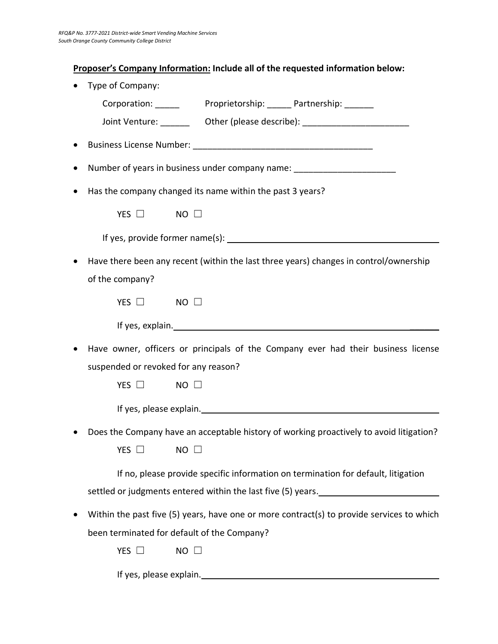# **Proposer's Company Information: Include all of the requested information below:**

| Type of Company:                                                                          |
|-------------------------------------------------------------------------------------------|
|                                                                                           |
| Joint Venture: __________ Other (please describe): _____________________________          |
|                                                                                           |
| Number of years in business under company name: ________________________________          |
| Has the company changed its name within the past 3 years?                                 |
| YES $\Box$<br>$NO$ $\square$                                                              |
|                                                                                           |
| Have there been any recent (within the last three years) changes in control/ownership     |
| of the company?                                                                           |
| YES $\Box$<br>$NO$ $\square$                                                              |
|                                                                                           |
| Have owner, officers or principals of the Company ever had their business license         |
| suspended or revoked for any reason?                                                      |
| YES $\Box$<br>$NO$ $\Box$                                                                 |
|                                                                                           |
| Does the Company have an acceptable history of working proactively to avoid litigation?   |
| YES $\Box$<br>$NO \Box$                                                                   |
| If no, please provide specific information on termination for default, litigation         |
| settled or judgments entered within the last five (5) years.                              |
| Within the past five (5) years, have one or more contract(s) to provide services to which |
| been terminated for default of the Company?                                               |
| YES $\square$<br>$NO$ $\square$                                                           |
| If yes, please explain.                                                                   |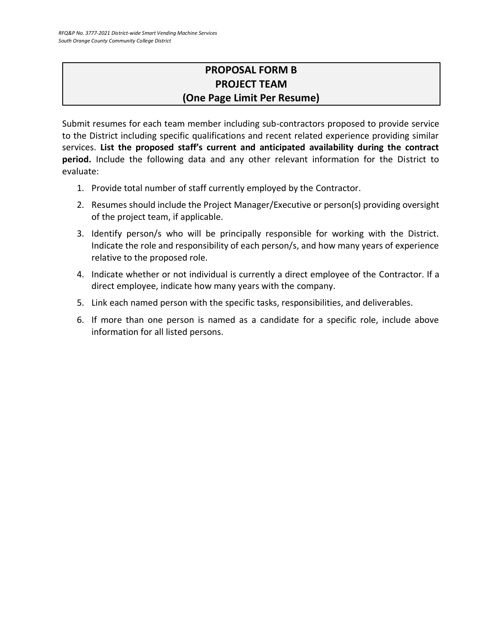# **PROPOSAL FORM B PROJECT TEAM (One Page Limit Per Resume)**

<span id="page-20-0"></span>Submit resumes for each team member including sub-contractors proposed to provide service to the District including specific qualifications and recent related experience providing similar services. **List the proposed staff's current and anticipated availability during the contract period.** Include the following data and any other relevant information for the District to evaluate:

- 1. Provide total number of staff currently employed by the Contractor.
- 2. Resumes should include the Project Manager/Executive or person(s) providing oversight of the project team, if applicable.
- 3. Identify person/s who will be principally responsible for working with the District. Indicate the role and responsibility of each person/s, and how many years of experience relative to the proposed role.
- 4. Indicate whether or not individual is currently a direct employee of the Contractor. If a direct employee, indicate how many years with the company.
- 5. Link each named person with the specific tasks, responsibilities, and deliverables.
- 6. If more than one person is named as a candidate for a specific role, include above information for all listed persons.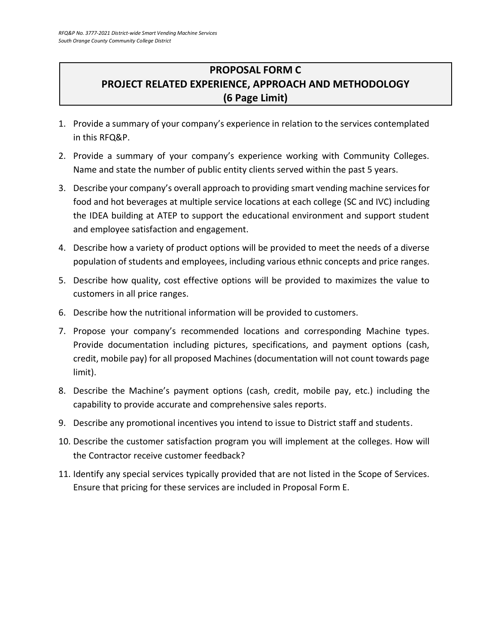# <span id="page-21-0"></span>**PROPOSAL FORM C PROJECT RELATED EXPERIENCE, APPROACH AND METHODOLOGY (6 Page Limit)**

- 1. Provide a summary of your company's experience in relation to the services contemplated in this RFQ&P.
- 2. Provide a summary of your company's experience working with Community Colleges. Name and state the number of public entity clients served within the past 5 years.
- 3. Describe your company's overall approach to providing smart vending machine services for food and hot beverages at multiple service locations at each college (SC and IVC) including the IDEA building at ATEP to support the educational environment and support student and employee satisfaction and engagement.
- 4. Describe how a variety of product options will be provided to meet the needs of a diverse population of students and employees, including various ethnic concepts and price ranges.
- 5. Describe how quality, cost effective options will be provided to maximizes the value to customers in all price ranges.
- 6. Describe how the nutritional information will be provided to customers.
- 7. Propose your company's recommended locations and corresponding Machine types. Provide documentation including pictures, specifications, and payment options (cash, credit, mobile pay) for all proposed Machines (documentation will not count towards page limit).
- 8. Describe the Machine's payment options (cash, credit, mobile pay, etc.) including the capability to provide accurate and comprehensive sales reports.
- 9. Describe any promotional incentives you intend to issue to District staff and students.
- 10. Describe the customer satisfaction program you will implement at the colleges. How will the Contractor receive customer feedback?
- 11. Identify any special services typically provided that are not listed in the Scope of Services. Ensure that pricing for these services are included in Proposal Form E.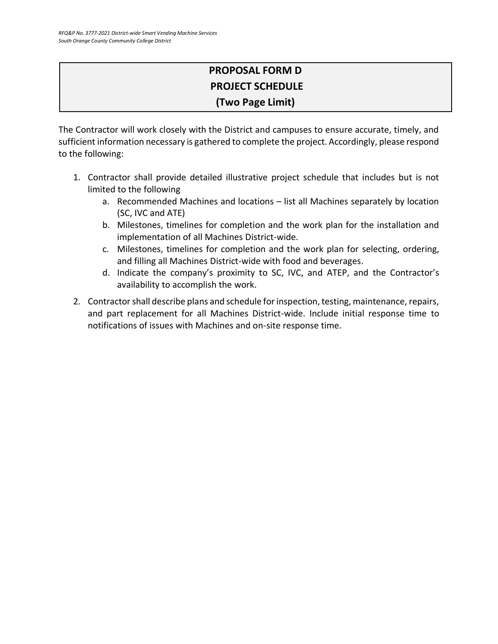# **PROPOSAL FORM D PROJECT SCHEDULE (Two Page Limit)**

The Contractor will work closely with the District and campuses to ensure accurate, timely, and sufficient information necessary is gathered to complete the project. Accordingly, please respond to the following:

- 1. Contractor shall provide detailed illustrative project schedule that includes but is not limited to the following
	- a. Recommended Machines and locations list all Machines separately by location (SC, IVC and ATE)
	- b. Milestones, timelines for completion and the work plan for the installation and implementation of all Machines District-wide.
	- c. Milestones, timelines for completion and the work plan for selecting, ordering, and filling all Machines District-wide with food and beverages.
	- d. Indicate the company's proximity to SC, IVC, and ATEP, and the Contractor's availability to accomplish the work.
- 2. Contractor shall describe plans and schedule for inspection, testing, maintenance, repairs, and part replacement for all Machines District-wide. Include initial response time to notifications of issues with Machines and on-site response time.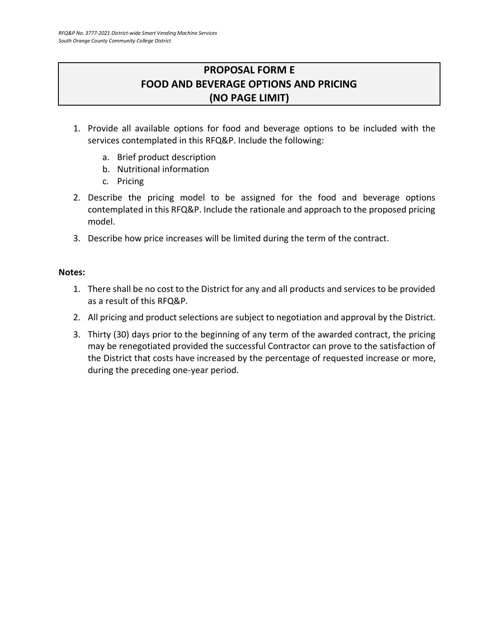# **PROPOSAL FORM E FOOD AND BEVERAGE OPTIONS AND PRICING (NO PAGE LIMIT)**

- <span id="page-23-0"></span>1. Provide all available options for food and beverage options to be included with the services contemplated in this RFQ&P. Include the following:
	- a. Brief product description
	- b. Nutritional information
	- c. Pricing
- 2. Describe the pricing model to be assigned for the food and beverage options contemplated in this RFQ&P. Include the rationale and approach to the proposed pricing model.
- 3. Describe how price increases will be limited during the term of the contract.

#### **Notes:**

- 1. There shall be no cost to the District for any and all products and services to be provided as a result of this RFQ&P.
- 2. All pricing and product selections are subject to negotiation and approval by the District.
- 3. Thirty (30) days prior to the beginning of any term of the awarded contract, the pricing may be renegotiated provided the successful Contractor can prove to the satisfaction of the District that costs have increased by the percentage of requested increase or more, during the preceding one-year period.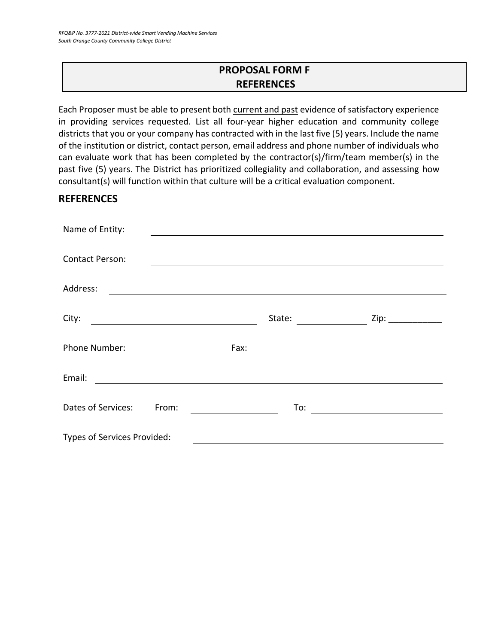# **PROPOSAL FORM F REFERENCES**

<span id="page-24-0"></span>Each Proposer must be able to present both current and past evidence of satisfactory experience in providing services requested. List all four-year higher education and community college districts that you or your company has contracted with in the last five (5) years. Include the name of the institution or district, contact person, email address and phone number of individuals who can evaluate work that has been completed by the contractor(s)/firm/team member(s) in the past five (5) years. The District has prioritized collegiality and collaboration, and assessing how consultant(s) will function within that culture will be a critical evaluation component.

# **REFERENCES**

| Name of Entity:                                                                                                                  |        |  |
|----------------------------------------------------------------------------------------------------------------------------------|--------|--|
|                                                                                                                                  |        |  |
| <b>Contact Person:</b>                                                                                                           |        |  |
| Address:<br><u> 1989 - Johann Stein, mars an deutscher Stein und der Stein und der Stein und der Stein und der Stein und der</u> |        |  |
| City:                                                                                                                            | State: |  |
|                                                                                                                                  |        |  |
| Phone Number:                                                                                                                    | Fax:   |  |
| Email:                                                                                                                           |        |  |
| Dates of Services:<br>From:                                                                                                      | To:    |  |
|                                                                                                                                  |        |  |
| Types of Services Provided:                                                                                                      |        |  |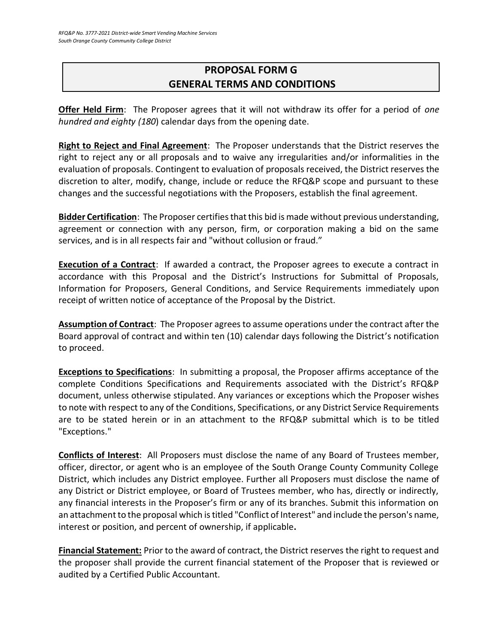# <span id="page-25-0"></span>**PROPOSAL FORM G GENERAL TERMS AND CONDITIONS**

**Offer Held Firm**: The Proposer agrees that it will not withdraw its offer for a period of *one hundred and eighty (180*) calendar days from the opening date.

**Right to Reject and Final Agreement**: The Proposer understands that the District reserves the right to reject any or all proposals and to waive any irregularities and/or informalities in the evaluation of proposals. Contingent to evaluation of proposals received, the District reserves the discretion to alter, modify, change, include or reduce the RFQ&P scope and pursuant to these changes and the successful negotiations with the Proposers, establish the final agreement.

**Bidder Certification**: The Proposer certifies that this bid is made without previous understanding, agreement or connection with any person, firm, or corporation making a bid on the same services, and is in all respects fair and "without collusion or fraud."

**Execution of a Contract**: If awarded a contract, the Proposer agrees to execute a contract in accordance with this Proposal and the District's Instructions for Submittal of Proposals, Information for Proposers, General Conditions, and Service Requirements immediately upon receipt of written notice of acceptance of the Proposal by the District.

**Assumption of Contract**: The Proposer agrees to assume operations under the contract after the Board approval of contract and within ten (10) calendar days following the District's notification to proceed.

**Exceptions to Specifications**: In submitting a proposal, the Proposer affirms acceptance of the complete Conditions Specifications and Requirements associated with the District's RFQ&P document, unless otherwise stipulated. Any variances or exceptions which the Proposer wishes to note with respect to any of the Conditions, Specifications, or any District Service Requirements are to be stated herein or in an attachment to the RFQ&P submittal which is to be titled "Exceptions."

**Conflicts of Interest**: All Proposers must disclose the name of any Board of Trustees member, officer, director, or agent who is an employee of the South Orange County Community College District, which includes any District employee. Further all Proposers must disclose the name of any District or District employee, or Board of Trustees member, who has, directly or indirectly, any financial interests in the Proposer's firm or any of its branches. Submit this information on an attachment to the proposal which is titled "Conflict of Interest" and include the person's name, interest or position, and percent of ownership, if applicable**.**

**Financial Statement:** Prior to the award of contract, the District reserves the right to request and the proposer shall provide the current financial statement of the Proposer that is reviewed or audited by a Certified Public Accountant.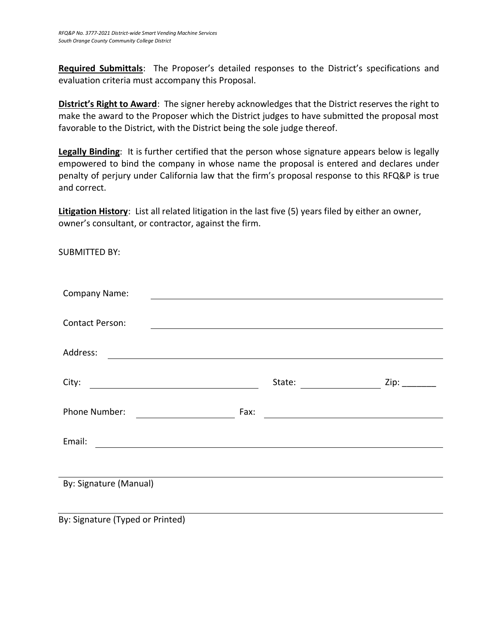**Required Submittals**: The Proposer's detailed responses to the District's specifications and evaluation criteria must accompany this Proposal.

**District's Right to Award**: The signer hereby acknowledges that the District reserves the right to make the award to the Proposer which the District judges to have submitted the proposal most favorable to the District, with the District being the sole judge thereof.

**Legally Binding**: It is further certified that the person whose signature appears below is legally empowered to bind the company in whose name the proposal is entered and declares under penalty of perjury under California law that the firm's proposal response to this RFQ&P is true and correct.

**Litigation History**: List all related litigation in the last five (5) years filed by either an owner, owner's consultant, or contractor, against the firm.

SUBMITTED BY:

| <b>Company Name:</b>                                                                                                         |                                                                                                 |      |
|------------------------------------------------------------------------------------------------------------------------------|-------------------------------------------------------------------------------------------------|------|
|                                                                                                                              |                                                                                                 |      |
| <b>Contact Person:</b>                                                                                                       |                                                                                                 |      |
|                                                                                                                              |                                                                                                 |      |
| Address:                                                                                                                     |                                                                                                 |      |
|                                                                                                                              |                                                                                                 |      |
| City:<br><u> 1980 - Johann Barn, mars eta bainar eta baina eta baina eta baina eta baina eta baina eta baina eta baina e</u> | State:                                                                                          | Zip: |
| Phone Number:                                                                                                                | Fax:                                                                                            |      |
|                                                                                                                              | the contract of the contract of the contract of the contract of the contract of the contract of |      |
| Email:<br>the contract of the contract of the contract of the contract of the contract of the contract of the                |                                                                                                 |      |
|                                                                                                                              |                                                                                                 |      |
|                                                                                                                              |                                                                                                 |      |
| By: Signature (Manual)                                                                                                       |                                                                                                 |      |
|                                                                                                                              |                                                                                                 |      |
|                                                                                                                              |                                                                                                 |      |

By: Signature (Typed or Printed)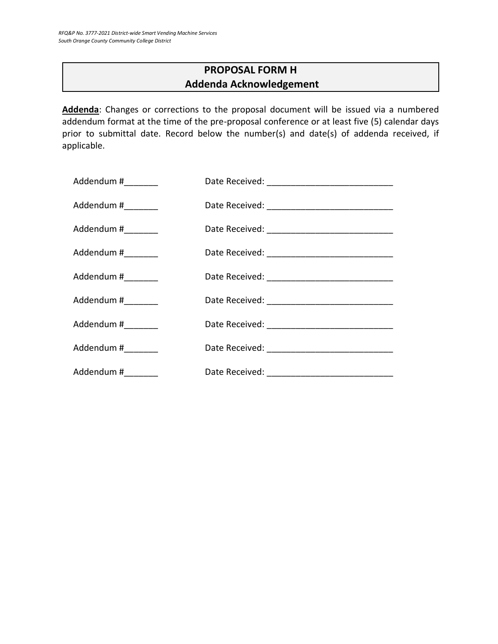# **PROPOSAL FORM H Addenda Acknowledgement**

<span id="page-27-0"></span>**Addenda**: Changes or corrections to the proposal document will be issued via a numbered addendum format at the time of the pre-proposal conference or at least five (5) calendar days prior to submittal date. Record below the number(s) and date(s) of addenda received, if applicable.

| Addendum #_________ |  |
|---------------------|--|
| Addendum #_________ |  |
| Addendum #________  |  |
| Addendum #_________ |  |
| Addendum #________  |  |
| Addendum #_________ |  |
| Addendum #_________ |  |
| Addendum #________  |  |
| Addendum #_________ |  |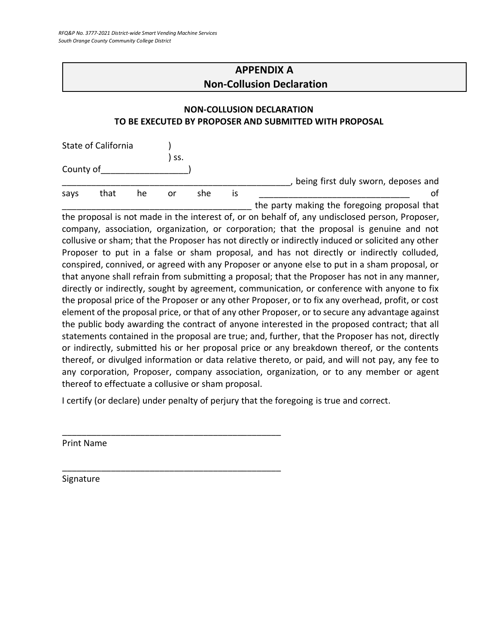# **APPENDIX A Non-Collusion Declaration**

## <span id="page-28-0"></span>**NON-COLLUSION DECLARATION TO BE EXECUTED BY PROPOSER AND SUBMITTED WITH PROPOSAL**

| State of California |      |    |     |     |    |                                              |
|---------------------|------|----|-----|-----|----|----------------------------------------------|
|                     |      |    | SS. |     |    |                                              |
| County of           |      |    |     |     |    |                                              |
|                     |      |    |     |     |    | being first duly sworn, deposes and          |
| says                | that | he | or  | she | IS |                                              |
|                     |      |    |     |     |    | the party making the foregoing proposal that |

the proposal is not made in the interest of, or on behalf of, any undisclosed person, Proposer, company, association, organization, or corporation; that the proposal is genuine and not collusive or sham; that the Proposer has not directly or indirectly induced or solicited any other Proposer to put in a false or sham proposal, and has not directly or indirectly colluded, conspired, connived, or agreed with any Proposer or anyone else to put in a sham proposal, or that anyone shall refrain from submitting a proposal; that the Proposer has not in any manner, directly or indirectly, sought by agreement, communication, or conference with anyone to fix the proposal price of the Proposer or any other Proposer, or to fix any overhead, profit, or cost element of the proposal price, or that of any other Proposer, or to secure any advantage against the public body awarding the contract of anyone interested in the proposed contract; that all statements contained in the proposal are true; and, further, that the Proposer has not, directly or indirectly, submitted his or her proposal price or any breakdown thereof, or the contents thereof, or divulged information or data relative thereto, or paid, and will not pay, any fee to any corporation, Proposer, company association, organization, or to any member or agent thereof to effectuate a collusive or sham proposal.

I certify (or declare) under penalty of perjury that the foregoing is true and correct.

\_\_\_\_\_\_\_\_\_\_\_\_\_\_\_\_\_\_\_\_\_\_\_\_\_\_\_\_\_\_\_\_\_\_\_\_\_\_\_\_\_\_\_\_\_

\_\_\_\_\_\_\_\_\_\_\_\_\_\_\_\_\_\_\_\_\_\_\_\_\_\_\_\_\_\_\_\_\_\_\_\_\_\_\_\_\_\_\_\_\_

Print Name

Signature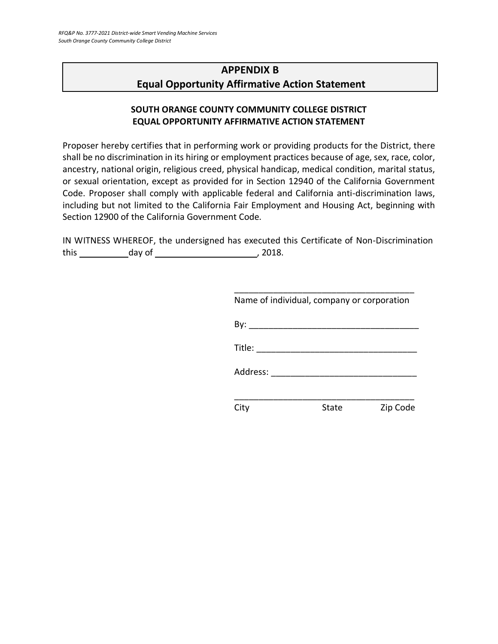# <span id="page-29-0"></span>**APPENDIX B Equal Opportunity Affirmative Action Statement**

# **SOUTH ORANGE COUNTY COMMUNITY COLLEGE DISTRICT EQUAL OPPORTUNITY AFFIRMATIVE ACTION STATEMENT**

Proposer hereby certifies that in performing work or providing products for the District, there shall be no discrimination in its hiring or employment practices because of age, sex, race, color, ancestry, national origin, religious creed, physical handicap, medical condition, marital status, or sexual orientation, except as provided for in Section 12940 of the California Government Code. Proposer shall comply with applicable federal and California anti-discrimination laws, including but not limited to the California Fair Employment and Housing Act, beginning with Section 12900 of the California Government Code.

IN WITNESS WHEREOF, the undersigned has executed this Certificate of Non-Discrimination this day of , 2018.

| Name of individual, company or corporation                                                                                                                                                                                     |       |          |
|--------------------------------------------------------------------------------------------------------------------------------------------------------------------------------------------------------------------------------|-------|----------|
|                                                                                                                                                                                                                                |       |          |
| Title: $\frac{1}{\sqrt{1-\frac{1}{2}}\cdot\frac{1}{2}}$                                                                                                                                                                        |       |          |
| Address: and the state of the state of the state of the state of the state of the state of the state of the state of the state of the state of the state of the state of the state of the state of the state of the state of t |       |          |
|                                                                                                                                                                                                                                |       |          |
|                                                                                                                                                                                                                                | State | Zip Code |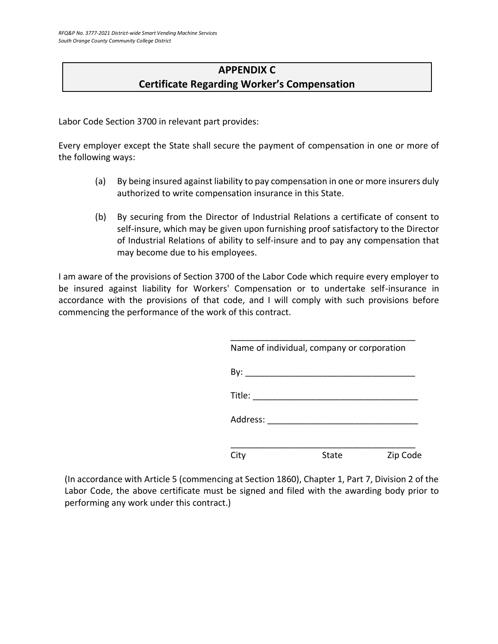# **APPENDIX C Certificate Regarding Worker's Compensation**

<span id="page-30-0"></span>Labor Code Section 3700 in relevant part provides:

Every employer except the State shall secure the payment of compensation in one or more of the following ways:

- (a) By being insured against liability to pay compensation in one or more insurers duly authorized to write compensation insurance in this State.
- (b) By securing from the Director of Industrial Relations a certificate of consent to self-insure, which may be given upon furnishing proof satisfactory to the Director of Industrial Relations of ability to self-insure and to pay any compensation that may become due to his employees.

I am aware of the provisions of Section 3700 of the Labor Code which require every employer to be insured against liability for Workers' Compensation or to undertake self-insurance in accordance with the provisions of that code, and I will comply with such provisions before commencing the performance of the work of this contract.

| Name of individual, company or corporation |       |          |  |
|--------------------------------------------|-------|----------|--|
| By:                                        |       |          |  |
| Title:                                     |       |          |  |
| Address:                                   |       |          |  |
| City                                       | State | Zip Code |  |

(In accordance with Article 5 (commencing at Section 1860), Chapter 1, Part 7, Division 2 of the Labor Code, the above certificate must be signed and filed with the awarding body prior to performing any work under this contract.)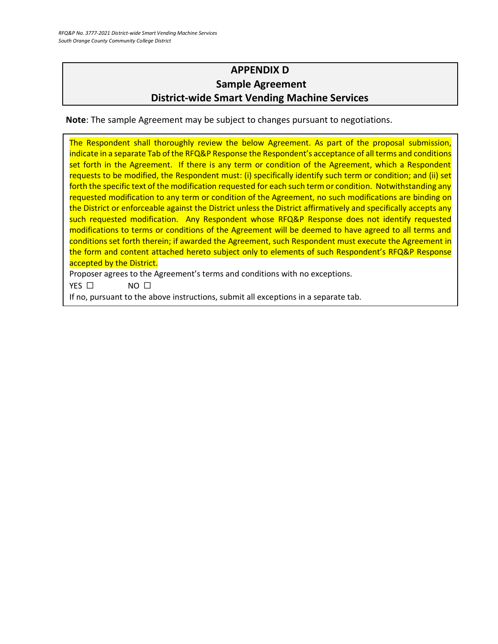# **APPENDIX D Sample Agreement District-wide Smart Vending Machine Services**

<span id="page-31-0"></span>**Note**: The sample Agreement may be subject to changes pursuant to negotiations.

The Respondent shall thoroughly review the below Agreement. As part of the proposal submission, indicate in a separate Tab of the RFQ&P Response the Respondent's acceptance of all terms and conditions set forth in the Agreement. If there is any term or condition of the Agreement, which a Respondent requests to be modified, the Respondent must: (i) specifically identify such term or condition; and (ii) set forth the specific text of the modification requested for each such term or condition. Notwithstanding any requested modification to any term or condition of the Agreement, no such modifications are binding on the District or enforceable against the District unless the District affirmatively and specifically accepts any such requested modification. Any Respondent whose RFQ&P Response does not identify requested modifications to terms or conditions of the Agreement will be deemed to have agreed to all terms and conditions set forth therein; if awarded the Agreement, such Respondent must execute the Agreement in the form and content attached hereto subject only to elements of such Respondent's RFQ&P Response accepted by the District.

Proposer agrees to the Agreement's terms and conditions with no exceptions.

YES □ NO □

If no, pursuant to the above instructions, submit all exceptions in a separate tab.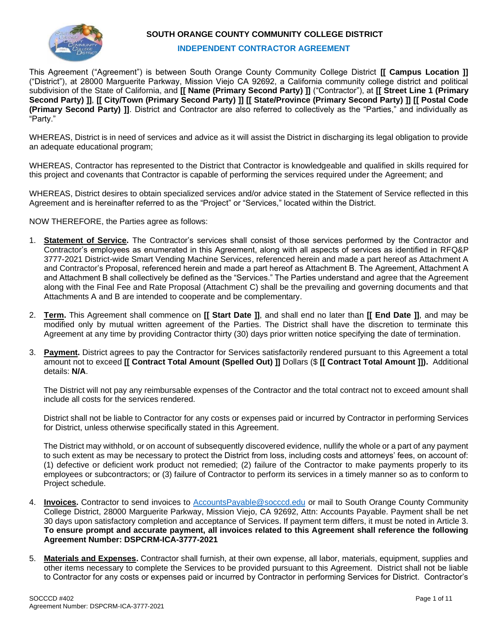

#### **SOUTH ORANGE COUNTY COMMUNITY COLLEGE DISTRICT**

#### **INDEPENDENT CONTRACTOR AGREEMENT**

This Agreement ("Agreement") is between South Orange County Community College District **[[ Campus Location ]]** ("District"), at 28000 Marguerite Parkway, Mission Viejo CA 92692, a California community college district and political subdivision of the State of California, and **[[ Name (Primary Second Party) ]]** ("Contractor"), at **[[ Street Line 1 (Primary Second Party) ]]**, **[[ City/Town (Primary Second Party) ]] [[ State/Province (Primary Second Party) ]] [[ Postal Code (Primary Second Party) ]]**. District and Contractor are also referred to collectively as the "Parties," and individually as "Party."

WHEREAS, District is in need of services and advice as it will assist the District in discharging its legal obligation to provide an adequate educational program;

WHEREAS, Contractor has represented to the District that Contractor is knowledgeable and qualified in skills required for this project and covenants that Contractor is capable of performing the services required under the Agreement; and

WHEREAS, District desires to obtain specialized services and/or advice stated in the Statement of Service reflected in this Agreement and is hereinafter referred to as the "Project" or "Services," located within the District.

NOW THEREFORE, the Parties agree as follows:

- 1. **Statement of Service.** The Contractor's services shall consist of those services performed by the Contractor and Contractor's employees as enumerated in this Agreement, along with all aspects of services as identified in RFQ&P 3777-2021 District-wide Smart Vending Machine Services, referenced herein and made a part hereof as Attachment A and Contractor's Proposal, referenced herein and made a part hereof as Attachment B. The Agreement, Attachment A and Attachment B shall collectively be defined as the "Services." The Parties understand and agree that the Agreement along with the Final Fee and Rate Proposal (Attachment C) shall be the prevailing and governing documents and that Attachments A and B are intended to cooperate and be complementary.
- 2. **Term.** This Agreement shall commence on **[[ Start Date ]]**, and shall end no later than **[[ End Date ]]**, and may be modified only by mutual written agreement of the Parties. The District shall have the discretion to terminate this Agreement at any time by providing Contractor thirty (30) days prior written notice specifying the date of termination.
- 3. **Payment.** District agrees to pay the Contractor for Services satisfactorily rendered pursuant to this Agreement a total amount not to exceed **[[ Contract Total Amount (Spelled Out) ]]** Dollars (\$ **[[ Contract Total Amount ]]).** Additional details: **N/A**.

The District will not pay any reimbursable expenses of the Contractor and the total contract not to exceed amount shall include all costs for the services rendered.

District shall not be liable to Contractor for any costs or expenses paid or incurred by Contractor in performing Services for District, unless otherwise specifically stated in this Agreement.

The District may withhold, or on account of subsequently discovered evidence, nullify the whole or a part of any payment to such extent as may be necessary to protect the District from loss, including costs and attorneys' fees, on account of: (1) defective or deficient work product not remedied; (2) failure of the Contractor to make payments properly to its employees or subcontractors; or (3) failure of Contractor to perform its services in a timely manner so as to conform to Project schedule.

- 4. **Invoices.** Contractor to send invoices to [AccountsPayable@socccd.edu](mailto:AccountsPayable@socccd.edu) or mail to South Orange County Community College District, 28000 Marguerite Parkway, Mission Viejo, CA 92692, Attn: Accounts Payable. Payment shall be net 30 days upon satisfactory completion and acceptance of Services. If payment term differs, it must be noted in Article 3. **To ensure prompt and accurate payment, all invoices related to this Agreement shall reference the following Agreement Number: DSPCRM-ICA-3777-2021**
- 5. **Materials and Expenses.** Contractor shall furnish, at their own expense, all labor, materials, equipment, supplies and other items necessary to complete the Services to be provided pursuant to this Agreement. District shall not be liable to Contractor for any costs or expenses paid or incurred by Contractor in performing Services for District. Contractor's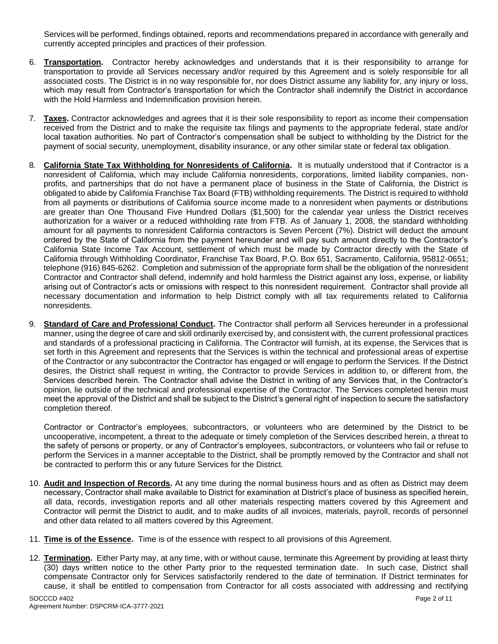Services will be performed, findings obtained, reports and recommendations prepared in accordance with generally and currently accepted principles and practices of their profession.

- 6. **Transportation.** Contractor hereby acknowledges and understands that it is their responsibility to arrange for transportation to provide all Services necessary and/or required by this Agreement and is solely responsible for all associated costs. The District is in no way responsible for, nor does District assume any liability for, any injury or loss, which may result from Contractor's transportation for which the Contractor shall indemnify the District in accordance with the Hold Harmless and Indemnification provision herein.
- 7. **Taxes.** Contractor acknowledges and agrees that it is their sole responsibility to report as income their compensation received from the District and to make the requisite tax filings and payments to the appropriate federal, state and/or local taxation authorities. No part of Contractor's compensation shall be subject to withholding by the District for the payment of social security, unemployment, disability insurance, or any other similar state or federal tax obligation.
- 8. **California State Tax Withholding for Nonresidents of California.** It is mutually understood that if Contractor is a nonresident of California, which may include California nonresidents, corporations, limited liability companies, nonprofits, and partnerships that do not have a permanent place of business in the State of California, the District is obligated to abide by California Franchise Tax Board (FTB) withholding requirements. The District is required to withhold from all payments or distributions of California source income made to a nonresident when payments or distributions are greater than One Thousand Five Hundred Dollars (\$1,500) for the calendar year unless the District receives authorization for a waiver or a reduced withholding rate from FTB. As of January 1, 2008, the standard withholding amount for all payments to nonresident California contractors is Seven Percent (7%). District will deduct the amount ordered by the State of California from the payment hereunder and will pay such amount directly to the Contractor's California State Income Tax Account, settlement of which must be made by Contractor directly with the State of California through Withholding Coordinator, Franchise Tax Board, P.O. Box 651, Sacramento, California, 95812-0651; telephone (916) 845-6262. Completion and submission of the appropriate form shall be the obligation of the nonresident Contractor and Contractor shall defend, indemnify and hold harmless the District against any loss, expense, or liability arising out of Contractor's acts or omissions with respect to this nonresident requirement. Contractor shall provide all necessary documentation and information to help District comply with all tax requirements related to California nonresidents.
- 9. **Standard of Care and Professional Conduct.** The Contractor shall perform all Services hereunder in a professional manner, using the degree of care and skill ordinarily exercised by, and consistent with, the current professional practices and standards of a professional practicing in California. The Contractor will furnish, at its expense, the Services that is set forth in this Agreement and represents that the Services is within the technical and professional areas of expertise of the Contractor or any subcontractor the Contractor has engaged or will engage to perform the Services. If the District desires, the District shall request in writing, the Contractor to provide Services in addition to, or different from, the Services described herein. The Contractor shall advise the District in writing of any Services that, in the Contractor's opinion, lie outside of the technical and professional expertise of the Contractor. The Services completed herein must meet the approval of the District and shall be subject to the District's general right of inspection to secure the satisfactory completion thereof.

Contractor or Contractor's employees, subcontractors, or volunteers who are determined by the District to be uncooperative, incompetent, a threat to the adequate or timely completion of the Services described herein, a threat to the safety of persons or property, or any of Contractor's employees, subcontractors, or volunteers who fail or refuse to perform the Services in a manner acceptable to the District, shall be promptly removed by the Contractor and shall not be contracted to perform this or any future Services for the District.

- 10. **Audit and Inspection of Records.** At any time during the normal business hours and as often as District may deem necessary, Contractor shall make available to District for examination at District's place of business as specified herein, all data, records, investigation reports and all other materials respecting matters covered by this Agreement and Contractor will permit the District to audit, and to make audits of all invoices, materials, payroll, records of personnel and other data related to all matters covered by this Agreement.
- 11. **Time is of the Essence.** Time is of the essence with respect to all provisions of this Agreement.
- 12. **Termination.** Either Party may, at any time, with or without cause, terminate this Agreement by providing at least thirty (30) days written notice to the other Party prior to the requested termination date. In such case, District shall compensate Contractor only for Services satisfactorily rendered to the date of termination. If District terminates for cause, it shall be entitled to compensation from Contractor for all costs associated with addressing and rectifying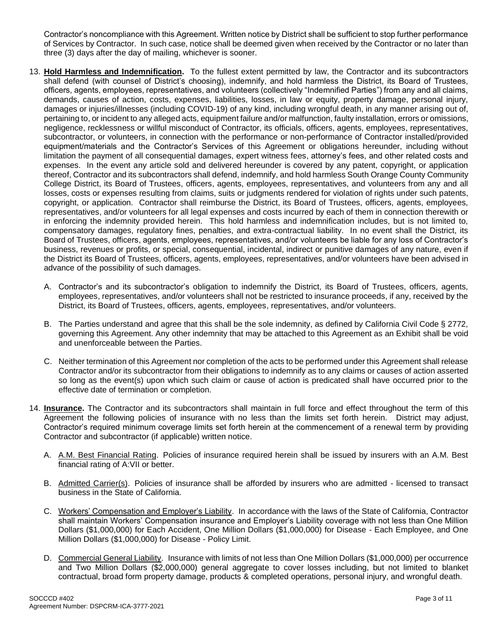Contractor's noncompliance with this Agreement. Written notice by District shall be sufficient to stop further performance of Services by Contractor. In such case, notice shall be deemed given when received by the Contractor or no later than three (3) days after the day of mailing, whichever is sooner.

- 13. **Hold Harmless and Indemnification.** To the fullest extent permitted by law, the Contractor and its subcontractors shall defend (with counsel of District's choosing), indemnify, and hold harmless the District, its Board of Trustees, officers, agents, employees, representatives, and volunteers (collectively "Indemnified Parties") from any and all claims, demands, causes of action, costs, expenses, liabilities, losses, in law or equity, property damage, personal injury, damages or injuries/illnesses (including COVID-19) of any kind, including wrongful death, in any manner arising out of, pertaining to, or incident to any alleged acts, equipment failure and/or malfunction, faulty installation, errors or omissions, negligence, recklessness or willful misconduct of Contractor, its officials, officers, agents, employees, representatives, subcontractor, or volunteers, in connection with the performance or non-performance of Contractor installed/provided equipment/materials and the Contractor's Services of this Agreement or obligations hereunder, including without limitation the payment of all consequential damages, expert witness fees, attorney's fees, and other related costs and expenses. In the event any article sold and delivered hereunder is covered by any patent, copyright, or application thereof, Contractor and its subcontractors shall defend, indemnify, and hold harmless South Orange County Community College District, its Board of Trustees, officers, agents, employees, representatives, and volunteers from any and all losses, costs or expenses resulting from claims, suits or judgments rendered for violation of rights under such patents, copyright, or application. Contractor shall reimburse the District, its Board of Trustees, officers, agents, employees, representatives, and/or volunteers for all legal expenses and costs incurred by each of them in connection therewith or in enforcing the indemnity provided herein. This hold harmless and indemnification includes, but is not limited to, compensatory damages, regulatory fines, penalties, and extra-contractual liability. In no event shall the District, its Board of Trustees, officers, agents, employees, representatives, and/or volunteers be liable for any loss of Contractor's business, revenues or profits, or special, consequential, incidental, indirect or punitive damages of any nature, even if the District its Board of Trustees, officers, agents, employees, representatives, and/or volunteers have been advised in advance of the possibility of such damages.
	- A. Contractor's and its subcontractor's obligation to indemnify the District, its Board of Trustees, officers, agents, employees, representatives, and/or volunteers shall not be restricted to insurance proceeds, if any, received by the District, its Board of Trustees, officers, agents, employees, representatives, and/or volunteers.
	- B. The Parties understand and agree that this shall be the sole indemnity, as defined by California Civil Code § 2772, governing this Agreement. Any other indemnity that may be attached to this Agreement as an Exhibit shall be void and unenforceable between the Parties.
	- C. Neither termination of this Agreement nor completion of the acts to be performed under this Agreement shall release Contractor and/or its subcontractor from their obligations to indemnify as to any claims or causes of action asserted so long as the event(s) upon which such claim or cause of action is predicated shall have occurred prior to the effective date of termination or completion.
- 14. **Insurance.** The Contractor and its subcontractors shall maintain in full force and effect throughout the term of this Agreement the following policies of insurance with no less than the limits set forth herein. District may adjust, Contractor's required minimum coverage limits set forth herein at the commencement of a renewal term by providing Contractor and subcontractor (if applicable) written notice.
	- A. A.M. Best Financial Rating.Policies of insurance required herein shall be issued by insurers with an A.M. Best financial rating of A:VII or better.
	- B. Admitted Carrier(s). Policies of insurance shall be afforded by insurers who are admitted licensed to transact business in the State of California.
	- C. Workers' Compensation and Employer's Liability.In accordance with the laws of the State of California, Contractor shall maintain Workers' Compensation insurance and Employer's Liability coverage with not less than One Million Dollars (\$1,000,000) for Each Accident, One Million Dollars (\$1,000,000) for Disease - Each Employee, and One Million Dollars (\$1,000,000) for Disease - Policy Limit.
	- D. Commercial General Liability. Insurance with limits of not less than One Million Dollars (\$1,000,000) per occurrence and Two Million Dollars (\$2,000,000) general aggregate to cover losses including, but not limited to blanket contractual, broad form property damage, products & completed operations, personal injury, and wrongful death.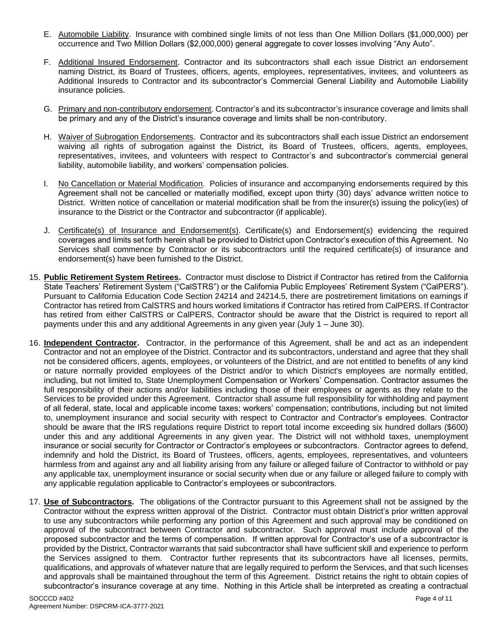- E. Automobile Liability. Insurance with combined single limits of not less than One Million Dollars (\$1,000,000) per occurrence and Two Million Dollars (\$2,000,000) general aggregate to cover losses involving "Any Auto".
- F. Additional Insured Endorsement. Contractor and its subcontractors shall each issue District an endorsement naming District, its Board of Trustees, officers, agents, employees, representatives, invitees, and volunteers as Additional Insureds to Contractor and its subcontractor's Commercial General Liability and Automobile Liability insurance policies.
- G. Primary and non-contributory endorsement. Contractor's and its subcontractor's insurance coverage and limits shall be primary and any of the District's insurance coverage and limits shall be non-contributory.
- H. Waiver of Subrogation Endorsements. Contractor and its subcontractors shall each issue District an endorsement waiving all rights of subrogation against the District, its Board of Trustees, officers, agents, employees, representatives, invitees, and volunteers with respect to Contractor's and subcontractor's commercial general liability, automobile liability, and workers' compensation policies.
- I. No Cancellation or Material Modification. Policies of insurance and accompanying endorsements required by this Agreement shall not be cancelled or materially modified, except upon thirty (30) days' advance written notice to District. Written notice of cancellation or material modification shall be from the insurer(s) issuing the policy(ies) of insurance to the District or the Contractor and subcontractor (if applicable).
- J. Certificate(s) of Insurance and Endorsement(s). Certificate(s) and Endorsement(s) evidencing the required coverages and limits set forth herein shall be provided to District upon Contractor's execution of this Agreement. No Services shall commence by Contractor or its subcontractors until the required certificate(s) of insurance and endorsement(s) have been furnished to the District.
- 15. **Public Retirement System Retirees.** Contractor must disclose to District if Contractor has retired from the California State Teachers' Retirement System ("CalSTRS") or the California Public Employees' Retirement System ("CalPERS"). Pursuant to California Education Code Section 24214 and 24214.5, there are postretirement limitations on earnings if Contractor has retired from CalSTRS and hours worked limitations if Contractor has retired from CalPERS. If Contractor has retired from either CalSTRS or CalPERS, Contractor should be aware that the District is required to report all payments under this and any additional Agreements in any given year (July 1 – June 30).
- 16. **Independent Contractor.** Contractor, in the performance of this Agreement, shall be and act as an independent Contractor and not an employee of the District. Contractor and its subcontractors, understand and agree that they shall not be considered officers, agents, employees, or volunteers of the District, and are not entitled to benefits of any kind or nature normally provided employees of the District and/or to which District's employees are normally entitled, including, but not limited to, State Unemployment Compensation or Workers' Compensation. Contractor assumes the full responsibility of their actions and/or liabilities including those of their employees or agents as they relate to the Services to be provided under this Agreement. Contractor shall assume full responsibility for withholding and payment of all federal, state, local and applicable income taxes; workers' compensation; contributions, including but not limited to, unemployment insurance and social security with respect to Contractor and Contractor's employees. Contractor should be aware that the IRS regulations require District to report total income exceeding six hundred dollars (\$600) under this and any additional Agreements in any given year. The District will not withhold taxes, unemployment insurance or social security for Contractor or Contractor's employees or subcontractors. Contractor agrees to defend, indemnify and hold the District, its Board of Trustees, officers, agents, employees, representatives, and volunteers harmless from and against any and all liability arising from any failure or alleged failure of Contractor to withhold or pay any applicable tax, unemployment insurance or social security when due or any failure or alleged failure to comply with any applicable regulation applicable to Contractor's employees or subcontractors.
- 17. **Use of Subcontractors.** The obligations of the Contractor pursuant to this Agreement shall not be assigned by the Contractor without the express written approval of the District. Contractor must obtain District's prior written approval to use any subcontractors while performing any portion of this Agreement and such approval may be conditioned on approval of the subcontract between Contractor and subcontractor. Such approval must include approval of the proposed subcontractor and the terms of compensation. If written approval for Contractor's use of a subcontractor is provided by the District, Contractor warrants that said subcontractor shall have sufficient skill and experience to perform the Services assigned to them. Contractor further represents that its subcontractors have all licenses, permits, qualifications, and approvals of whatever nature that are legally required to perform the Services, and that such licenses and approvals shall be maintained throughout the term of this Agreement. District retains the right to obtain copies of subcontractor's insurance coverage at any time. Nothing in this Article shall be interpreted as creating a contractual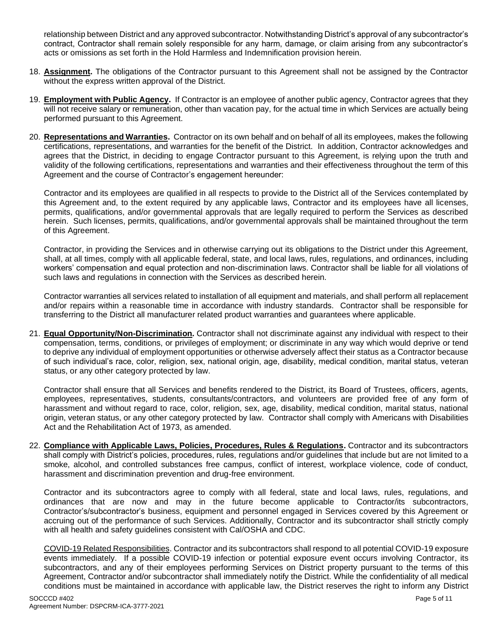relationship between District and any approved subcontractor. Notwithstanding District's approval of any subcontractor's contract, Contractor shall remain solely responsible for any harm, damage, or claim arising from any subcontractor's acts or omissions as set forth in the Hold Harmless and Indemnification provision herein.

- 18. **Assignment.** The obligations of the Contractor pursuant to this Agreement shall not be assigned by the Contractor without the express written approval of the District.
- 19. **Employment with Public Agency.** If Contractor is an employee of another public agency, Contractor agrees that they will not receive salary or remuneration, other than vacation pay, for the actual time in which Services are actually being performed pursuant to this Agreement.
- 20. **Representations and Warranties.** Contractor on its own behalf and on behalf of all its employees, makes the following certifications, representations, and warranties for the benefit of the District. In addition, Contractor acknowledges and agrees that the District, in deciding to engage Contractor pursuant to this Agreement, is relying upon the truth and validity of the following certifications, representations and warranties and their effectiveness throughout the term of this Agreement and the course of Contractor's engagement hereunder:

Contractor and its employees are qualified in all respects to provide to the District all of the Services contemplated by this Agreement and, to the extent required by any applicable laws, Contractor and its employees have all licenses, permits, qualifications, and/or governmental approvals that are legally required to perform the Services as described herein. Such licenses, permits, qualifications, and/or governmental approvals shall be maintained throughout the term of this Agreement.

Contractor, in providing the Services and in otherwise carrying out its obligations to the District under this Agreement, shall, at all times, comply with all applicable federal, state, and local laws, rules, regulations, and ordinances, including workers' compensation and equal protection and non-discrimination laws. Contractor shall be liable for all violations of such laws and regulations in connection with the Services as described herein.

Contractor warranties all services related to installation of all equipment and materials, and shall perform all replacement and/or repairs within a reasonable time in accordance with industry standards. Contractor shall be responsible for transferring to the District all manufacturer related product warranties and guarantees where applicable.

21. **Equal Opportunity/Non-Discrimination.** Contractor shall not discriminate against any individual with respect to their compensation, terms, conditions, or privileges of employment; or discriminate in any way which would deprive or tend to deprive any individual of employment opportunities or otherwise adversely affect their status as a Contractor because of such individual's race, color, religion, sex, national origin, age, disability, medical condition, marital status, veteran status, or any other category protected by law.

Contractor shall ensure that all Services and benefits rendered to the District, its Board of Trustees, officers, agents, employees, representatives, students, consultants/contractors, and volunteers are provided free of any form of harassment and without regard to race, color, religion, sex, age, disability, medical condition, marital status, national origin, veteran status, or any other category protected by law. Contractor shall comply with Americans with Disabilities Act and the Rehabilitation Act of 1973, as amended.

22. **Compliance with Applicable Laws, Policies, Procedures, Rules & Regulations.** Contractor and its subcontractors shall comply with District's policies, procedures, rules, regulations and/or guidelines that include but are not limited to a smoke, alcohol, and controlled substances free campus, conflict of interest, workplace violence, code of conduct, harassment and discrimination prevention and drug-free environment.

Contractor and its subcontractors agree to comply with all federal, state and local laws, rules, regulations, and ordinances that are now and may in the future become applicable to Contractor/its subcontractors, Contractor's/subcontractor's business, equipment and personnel engaged in Services covered by this Agreement or accruing out of the performance of such Services. Additionally, Contractor and its subcontractor shall strictly comply with all health and safety guidelines consistent with Cal/OSHA and CDC.

COVID-19 Related Responsibilities. Contractor and its subcontractors shall respond to all potential COVID-19 exposure events immediately. If a possible COVID-19 infection or potential exposure event occurs involving Contractor, its subcontractors, and any of their employees performing Services on District property pursuant to the terms of this Agreement, Contractor and/or subcontractor shall immediately notify the District. While the confidentiality of all medical conditions must be maintained in accordance with applicable law, the District reserves the right to inform any District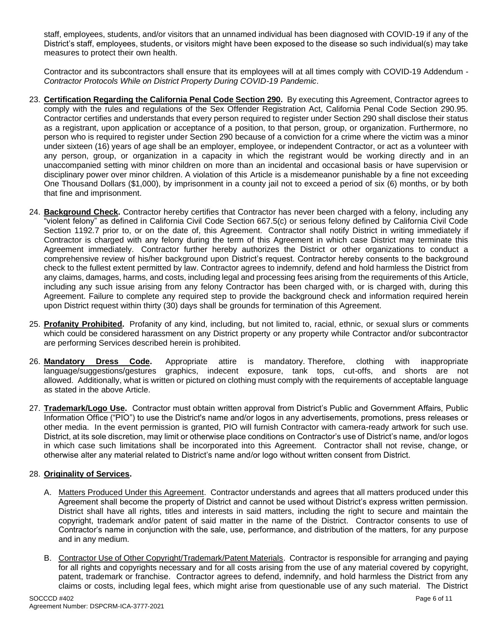staff, employees, students, and/or visitors that an unnamed individual has been diagnosed with COVID-19 if any of the District's staff, employees, students, or visitors might have been exposed to the disease so such individual(s) may take measures to protect their own health.

Contractor and its subcontractors shall ensure that its employees will at all times comply with COVID-19 Addendum - *Contractor Protocols While on District Property During COVID-19 Pandemic*.

- 23. **Certification Regarding the California Penal Code Section 290.** By executing this Agreement, Contractor agrees to comply with the rules and regulations of the Sex Offender Registration Act, California Penal Code Section 290.95. Contractor certifies and understands that every person required to register under Section 290 shall disclose their status as a registrant, upon application or acceptance of a position, to that person, group, or organization. Furthermore, no person who is required to register under Section 290 because of a conviction for a crime where the victim was a minor under sixteen (16) years of age shall be an employer, employee, or independent Contractor, or act as a volunteer with any person, group, or organization in a capacity in which the registrant would be working directly and in an unaccompanied setting with minor children on more than an incidental and occasional basis or have supervision or disciplinary power over minor children. A violation of this Article is a misdemeanor punishable by a fine not exceeding One Thousand Dollars (\$1,000), by imprisonment in a county jail not to exceed a period of six (6) months, or by both that fine and imprisonment.
- 24. **Background Check.** Contractor hereby certifies that Contractor has never been charged with a felony, including any "violent felony" as defined in California Civil Code Section 667.5(c) or serious felony defined by California Civil Code Section 1192.7 prior to, or on the date of, this Agreement. Contractor shall notify District in writing immediately if Contractor is charged with any felony during the term of this Agreement in which case District may terminate this Agreement immediately. Contractor further hereby authorizes the District or other organizations to conduct a comprehensive review of his/her background upon District's request. Contractor hereby consents to the background check to the fullest extent permitted by law. Contractor agrees to indemnify, defend and hold harmless the District from any claims, damages, harms, and costs, including legal and processing fees arising from the requirements of this Article, including any such issue arising from any felony Contractor has been charged with, or is charged with, during this Agreement. Failure to complete any required step to provide the background check and information required herein upon District request within thirty (30) days shall be grounds for termination of this Agreement.
- 25. **Profanity Prohibited.** Profanity of any kind, including, but not limited to, racial, ethnic, or sexual slurs or comments which could be considered harassment on any District property or any property while Contractor and/or subcontractor are performing Services described herein is prohibited.
- 26. **Mandatory Dress Code.** Appropriate attire is mandatory. Therefore, clothing with inappropriate language/suggestions/gestures graphics, indecent exposure, tank tops, cut-offs, and shorts are not allowed. Additionally, what is written or pictured on clothing must comply with the requirements of acceptable language as stated in the above Article.
- 27. **Trademark/Logo Use.** Contractor must obtain written approval from District's Public and Government Affairs, Public Information Office ("PIO") to use the District's name and/or logos in any advertisements, promotions, press releases or other media. In the event permission is granted, PIO will furnish Contractor with camera-ready artwork for such use. District, at its sole discretion, may limit or otherwise place conditions on Contractor's use of District's name, and/or logos in which case such limitations shall be incorporated into this Agreement. Contractor shall not revise, change, or otherwise alter any material related to District's name and/or logo without written consent from District.

#### 28. **Originality of Services.**

- A. Matters Produced Under this Agreement. Contractor understands and agrees that all matters produced under this Agreement shall become the property of District and cannot be used without District's express written permission. District shall have all rights, titles and interests in said matters, including the right to secure and maintain the copyright, trademark and/or patent of said matter in the name of the District. Contractor consents to use of Contractor's name in conjunction with the sale, use, performance, and distribution of the matters, for any purpose and in any medium.
- B. Contractor Use of Other Copyright/Trademark/Patent Materials. Contractor is responsible for arranging and paying for all rights and copyrights necessary and for all costs arising from the use of any material covered by copyright, patent, trademark or franchise. Contractor agrees to defend, indemnify, and hold harmless the District from any claims or costs, including legal fees, which might arise from questionable use of any such material. The District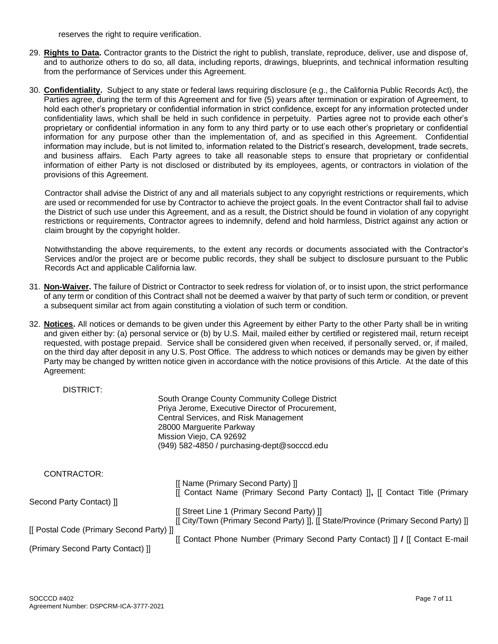reserves the right to require verification.

- 29. **Rights to Data.** Contractor grants to the District the right to publish, translate, reproduce, deliver, use and dispose of, and to authorize others to do so, all data, including reports, drawings, blueprints, and technical information resulting from the performance of Services under this Agreement.
- 30. **Confidentiality.** Subject to any state or federal laws requiring disclosure (e.g., the California Public Records Act), the Parties agree, during the term of this Agreement and for five (5) years after termination or expiration of Agreement, to hold each other's proprietary or confidential information in strict confidence, except for any information protected under confidentiality laws, which shall be held in such confidence in perpetuity. Parties agree not to provide each other's proprietary or confidential information in any form to any third party or to use each other's proprietary or confidential information for any purpose other than the implementation of, and as specified in this Agreement. Confidential information may include, but is not limited to, information related to the District's research, development, trade secrets, and business affairs. Each Party agrees to take all reasonable steps to ensure that proprietary or confidential information of either Party is not disclosed or distributed by its employees, agents, or contractors in violation of the provisions of this Agreement.

Contractor shall advise the District of any and all materials subject to any copyright restrictions or requirements, which are used or recommended for use by Contractor to achieve the project goals. In the event Contractor shall fail to advise the District of such use under this Agreement, and as a result, the District should be found in violation of any copyright restrictions or requirements, Contractor agrees to indemnify, defend and hold harmless, District against any action or claim brought by the copyright holder.

Notwithstanding the above requirements, to the extent any records or documents associated with the Contractor's Services and/or the project are or become public records, they shall be subject to disclosure pursuant to the Public Records Act and applicable California law.

- 31. **Non-Waiver.** The failure of District or Contractor to seek redress for violation of, or to insist upon, the strict performance of any term or condition of this Contract shall not be deemed a waiver by that party of such term or condition, or prevent a subsequent similar act from again constituting a violation of such term or condition.
- 32. **Notices.** All notices or demands to be given under this Agreement by either Party to the other Party shall be in writing and given either by: (a) personal service or (b) by U.S. Mail, mailed either by certified or registered mail, return receipt requested, with postage prepaid. Service shall be considered given when received, if personally served, or, if mailed, on the third day after deposit in any U.S. Post Office. The address to which notices or demands may be given by either Party may be changed by written notice given in accordance with the notice provisions of this Article. At the date of this Agreement:

| DISTRICT:                                |                                                                                                                                                                                                                                                   |
|------------------------------------------|---------------------------------------------------------------------------------------------------------------------------------------------------------------------------------------------------------------------------------------------------|
|                                          | South Orange County Community College District<br>Priya Jerome, Executive Director of Procurement,<br>Central Services, and Risk Management<br>28000 Marguerite Parkway<br>Mission Viejo, CA 92692<br>(949) 582-4850 / purchasing-dept@socccd.edu |
| CONTRACTOR:                              |                                                                                                                                                                                                                                                   |
|                                          | [[ Name (Primary Second Party) ]]                                                                                                                                                                                                                 |
|                                          | [[ Contact Name (Primary Second Party Contact) ]], [[ Contact Title (Primary                                                                                                                                                                      |
| Second Party Contact) ]]                 |                                                                                                                                                                                                                                                   |
|                                          | [[ Street Line 1 (Primary Second Party) ]]                                                                                                                                                                                                        |
|                                          | [[ City/Town (Primary Second Party) ]], [[ State/Province (Primary Second Party) ]]                                                                                                                                                               |
| [[ Postal Code (Primary Second Party) ]] |                                                                                                                                                                                                                                                   |
|                                          | [[ Contact Phone Number (Primary Second Party Contact) ]] / [[ Contact E-mail]                                                                                                                                                                    |
| (Primary Second Party Contact) ]]        |                                                                                                                                                                                                                                                   |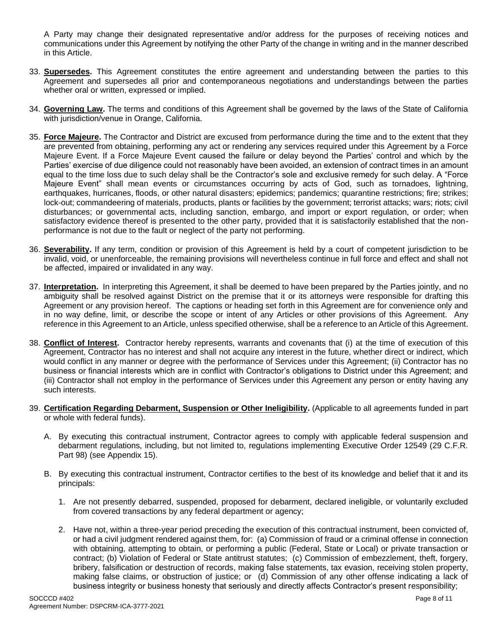A Party may change their designated representative and/or address for the purposes of receiving notices and communications under this Agreement by notifying the other Party of the change in writing and in the manner described in this Article.

- 33. **Supersedes.** This Agreement constitutes the entire agreement and understanding between the parties to this Agreement and supersedes all prior and contemporaneous negotiations and understandings between the parties whether oral or written, expressed or implied.
- 34. **Governing Law.** The terms and conditions of this Agreement shall be governed by the laws of the State of California with jurisdiction/venue in Orange, California.
- 35. **Force Majeure.** The Contractor and District are excused from performance during the time and to the extent that they are prevented from obtaining, performing any act or rendering any services required under this Agreement by a Force Majeure Event. If a Force Majeure Event caused the failure or delay beyond the Parties' control and which by the Parties' exercise of due diligence could not reasonably have been avoided, an extension of contract times in an amount equal to the time loss due to such delay shall be the Contractor's sole and exclusive remedy for such delay. A "Force Majeure Event" shall mean events or circumstances occurring by acts of God, such as tornadoes, lightning, earthquakes, hurricanes, floods, or other natural disasters; epidemics; pandemics; quarantine restrictions; fire; strikes; lock-out; commandeering of materials, products, plants or facilities by the government; terrorist attacks; wars; riots; civil disturbances; or governmental acts, including sanction, embargo, and import or export regulation, or order; when satisfactory evidence thereof is presented to the other party, provided that it is satisfactorily established that the nonperformance is not due to the fault or neglect of the party not performing.
- 36. **Severability.** If any term, condition or provision of this Agreement is held by a court of competent jurisdiction to be invalid, void, or unenforceable, the remaining provisions will nevertheless continue in full force and effect and shall not be affected, impaired or invalidated in any way.
- 37. **Interpretation.** In interpreting this Agreement, it shall be deemed to have been prepared by the Parties jointly, and no ambiguity shall be resolved against District on the premise that it or its attorneys were responsible for drafting this Agreement or any provision hereof. The captions or heading set forth in this Agreement are for convenience only and in no way define, limit, or describe the scope or intent of any Articles or other provisions of this Agreement. Any reference in this Agreement to an Article, unless specified otherwise, shall be a reference to an Article of this Agreement.
- 38. **Conflict of Interest.** Contractor hereby represents, warrants and covenants that (i) at the time of execution of this Agreement, Contractor has no interest and shall not acquire any interest in the future, whether direct or indirect, which would conflict in any manner or degree with the performance of Services under this Agreement; (ii) Contractor has no business or financial interests which are in conflict with Contractor's obligations to District under this Agreement; and (iii) Contractor shall not employ in the performance of Services under this Agreement any person or entity having any such interests.
- 39. **Certification Regarding Debarment, Suspension or Other Ineligibility.** (Applicable to all agreements funded in part or whole with federal funds).
	- A. By executing this contractual instrument, Contractor agrees to comply with applicable federal suspension and debarment regulations, including, but not limited to, regulations implementing Executive Order 12549 (29 C.F.R. Part 98) (see Appendix 15).
	- B. By executing this contractual instrument, Contractor certifies to the best of its knowledge and belief that it and its principals:
		- 1. Are not presently debarred, suspended, proposed for debarment, declared ineligible, or voluntarily excluded from covered transactions by any federal department or agency;
		- 2. Have not, within a three-year period preceding the execution of this contractual instrument, been convicted of, or had a civil judgment rendered against them, for: (a) Commission of fraud or a criminal offense in connection with obtaining, attempting to obtain, or performing a public (Federal, State or Local) or private transaction or contract; (b) Violation of Federal or State antitrust statutes; (c) Commission of embezzlement, theft, forgery, bribery, falsification or destruction of records, making false statements, tax evasion, receiving stolen property, making false claims, or obstruction of justice; or (d) Commission of any other offense indicating a lack of business integrity or business honesty that seriously and directly affects Contractor's present responsibility;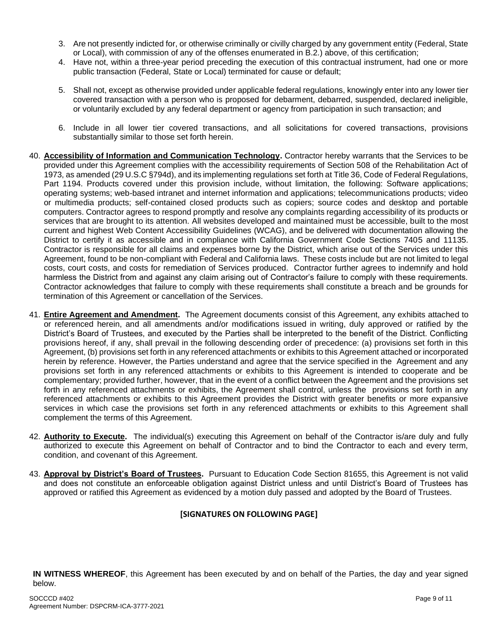- 3. Are not presently indicted for, or otherwise criminally or civilly charged by any government entity (Federal, State or Local), with commission of any of the offenses enumerated in B.2.) above, of this certification;
- 4. Have not, within a three-year period preceding the execution of this contractual instrument, had one or more public transaction (Federal, State or Local) terminated for cause or default;
- 5. Shall not, except as otherwise provided under applicable federal regulations, knowingly enter into any lower tier covered transaction with a person who is proposed for debarment, debarred, suspended, declared ineligible, or voluntarily excluded by any federal department or agency from participation in such transaction; and
- 6. Include in all lower tier covered transactions, and all solicitations for covered transactions, provisions substantially similar to those set forth herein.
- 40. **Accessibility of Information and Communication Technology.** Contractor hereby warrants that the Services to be provided under this Agreement complies with the accessibility requirements of Section 508 of the Rehabilitation Act of 1973, as amended (29 U.S.C §794d), and its implementing regulations set forth at Title 36, Code of Federal Regulations, Part 1194. Products covered under this provision include, without limitation, the following: Software applications; operating systems; web-based intranet and internet information and applications; telecommunications products; video or multimedia products; self-contained closed products such as copiers; source codes and desktop and portable computers. Contractor agrees to respond promptly and resolve any complaints regarding accessibility of its products or services that are brought to its attention. All websites developed and maintained must be accessible, built to the most current and highest Web Content Accessibility Guidelines (WCAG), and be delivered with documentation allowing the District to certify it as accessible and in compliance with California Government Code Sections 7405 and 11135. Contractor is responsible for all claims and expenses borne by the District, which arise out of the Services under this Agreement, found to be non-compliant with Federal and California laws. These costs include but are not limited to legal costs, court costs, and costs for remediation of Services produced. Contractor further agrees to indemnify and hold harmless the District from and against any claim arising out of Contractor's failure to comply with these requirements. Contractor acknowledges that failure to comply with these requirements shall constitute a breach and be grounds for termination of this Agreement or cancellation of the Services.
- 41. **Entire Agreement and Amendment.** The Agreement documents consist of this Agreement, any exhibits attached to or referenced herein, and all amendments and/or modifications issued in writing, duly approved or ratified by the District's Board of Trustees, and executed by the Parties shall be interpreted to the benefit of the District. Conflicting provisions hereof, if any, shall prevail in the following descending order of precedence: (a) provisions set forth in this Agreement, (b) provisions set forth in any referenced attachments or exhibits to this Agreement attached or incorporated herein by reference. However, the Parties understand and agree that the service specified in the Agreement and any provisions set forth in any referenced attachments or exhibits to this Agreement is intended to cooperate and be complementary; provided further, however, that in the event of a conflict between the Agreement and the provisions set forth in any referenced attachments or exhibits, the Agreement shall control, unless the provisions set forth in any referenced attachments or exhibits to this Agreement provides the District with greater benefits or more expansive services in which case the provisions set forth in any referenced attachments or exhibits to this Agreement shall complement the terms of this Agreement.
- 42. **Authority to Execute.** The individual(s) executing this Agreement on behalf of the Contractor is/are duly and fully authorized to execute this Agreement on behalf of Contractor and to bind the Contractor to each and every term, condition, and covenant of this Agreement.
- 43. **Approval by District's Board of Trustees.** Pursuant to Education Code Section 81655, this Agreement is not valid and does not constitute an enforceable obligation against District unless and until District's Board of Trustees has approved or ratified this Agreement as evidenced by a motion duly passed and adopted by the Board of Trustees.

#### **[SIGNATURES ON FOLLOWING PAGE]**

**IN WITNESS WHEREOF**, this Agreement has been executed by and on behalf of the Parties, the day and year signed below.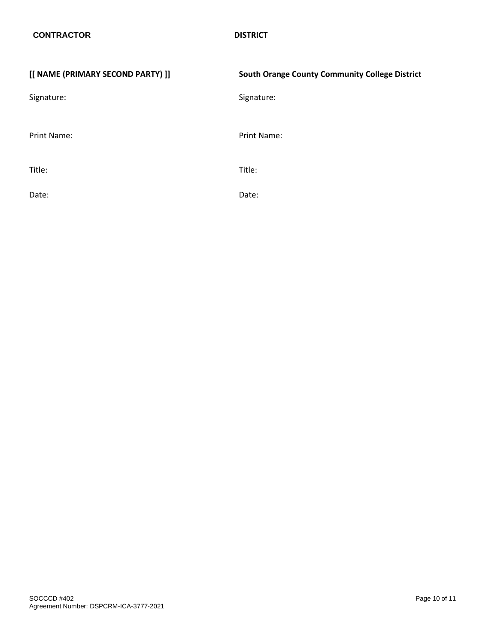| [[ NAME (PRIMARY SECOND PARTY) ]] | <b>South Orange County Community College District</b> |
|-----------------------------------|-------------------------------------------------------|
| Signature:                        | Signature:                                            |
| Print Name:                       | Print Name:                                           |
| Title:                            | Title:                                                |
| Date:                             | Date:                                                 |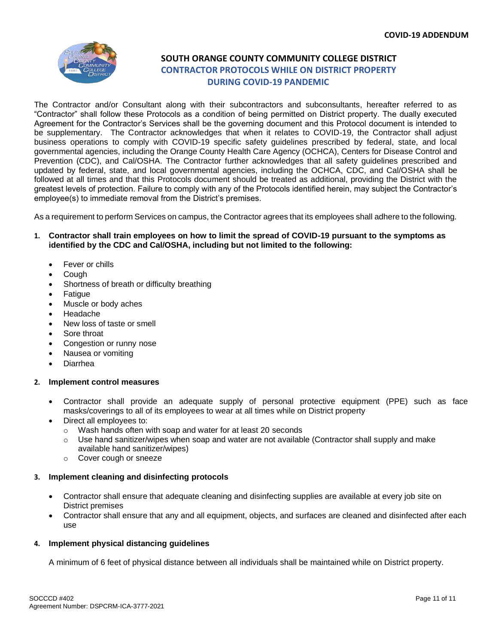

# **SOUTH ORANGE COUNTY COMMUNITY COLLEGE DISTRICT CONTRACTOR PROTOCOLS WHILE ON DISTRICT PROPERTY DURING COVID-19 PANDEMIC**

The Contractor and/or Consultant along with their subcontractors and subconsultants, hereafter referred to as "Contractor" shall follow these Protocols as a condition of being permitted on District property. The dually executed Agreement for the Contractor's Services shall be the governing document and this Protocol document is intended to be supplementary. The Contractor acknowledges that when it relates to COVID-19, the Contractor shall adjust business operations to comply with COVID-19 specific safety guidelines prescribed by federal, state, and local governmental agencies, including the Orange County Health Care Agency (OCHCA), Centers for Disease Control and Prevention (CDC), and Cal/OSHA. The Contractor further acknowledges that all safety guidelines prescribed and updated by federal, state, and local governmental agencies, including the OCHCA, CDC, and Cal/OSHA shall be followed at all times and that this Protocols document should be treated as additional, providing the District with the greatest levels of protection. Failure to comply with any of the Protocols identified herein, may subject the Contractor's employee(s) to immediate removal from the District's premises.

As a requirement to perform Services on campus, the Contractor agrees that its employees shall adhere to the following.

#### **1. Contractor shall train employees on how to limit the spread of COVID-19 pursuant to the symptoms as identified by the CDC and Cal/OSHA, including but not limited to the following:**

- Fever or chills
- Cough
- Shortness of breath or difficulty breathing
- Fatigue
- Muscle or body aches
- Headache
- New loss of taste or smell
- Sore throat
- Congestion or runny nose
- Nausea or vomiting
- Diarrhea

#### **2. Implement control measures**

- Contractor shall provide an adequate supply of personal protective equipment (PPE) such as face masks/coverings to all of its employees to wear at all times while on District property
- Direct all employees to:
	- o Wash hands often with soap and water for at least 20 seconds
	- $\circ$  Use hand sanitizer/wipes when soap and water are not available (Contractor shall supply and make available hand sanitizer/wipes)
	- o Cover cough or sneeze

#### **3. Implement cleaning and disinfecting protocols**

- Contractor shall ensure that adequate cleaning and disinfecting supplies are available at every job site on District premises
- Contractor shall ensure that any and all equipment, objects, and surfaces are cleaned and disinfected after each use

#### **4. Implement physical distancing guidelines**

A minimum of 6 feet of physical distance between all individuals shall be maintained while on District property.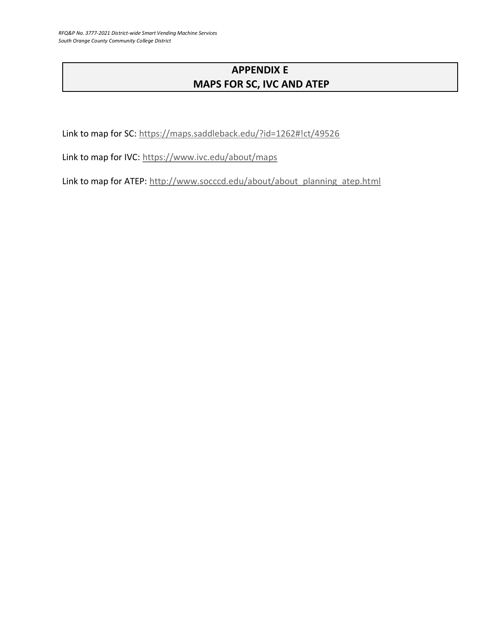# **APPENDIX E MAPS FOR SC, IVC AND ATEP**

Link to map for SC:<https://maps.saddleback.edu/?id=1262#!ct/49526>

Link to map for IVC:<https://www.ivc.edu/about/maps>

Link to map for ATEP: [http://www.socccd.edu/about/about\\_planning\\_atep.html](http://www.socccd.edu/about/about_planning_atep.html)